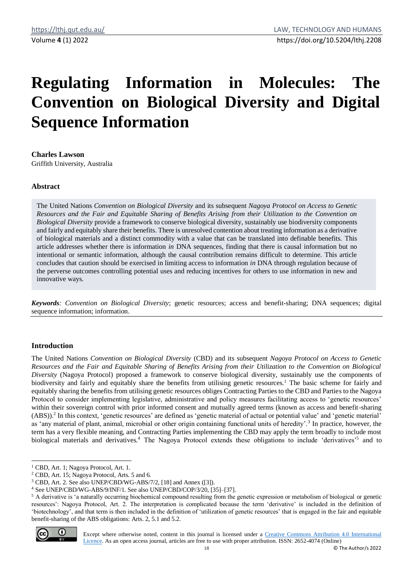# **Regulating Information in Molecules: The Convention on Biological Diversity and Digital Sequence Information**

**Charles Lawson** Griffith University, Australia

# **Abstract**

The United Nations *Convention on Biological Diversity* and its subsequent *Nagoya Protocol on Access to Genetic Resources and the Fair and Equitable Sharing of Benefits Arising from their Utilization to the Convention on Biological Diversity* provide a framework to conserve biological diversity, sustainably use biodiversity components and fairly and equitably share their benefits. There is unresolved contention about treating information as a derivative of biological materials and a distinct commodity with a value that can be translated into definable benefits. This article addresses whether there is information *in* DNA sequences, finding that there is causal information but no intentional or semantic information, although the causal contribution remains difficult to determine. This article concludes that caution should be exercised in limiting access to information *in* DNA through regulation because of the perverse outcomes controlling potential uses and reducing incentives for others to use information in new and innovative ways.

*Keywords: Convention on Biological Diversity*; genetic resources; access and benefit-sharing; DNA sequences; digital sequence information; information.

## **Introduction**

The United Nations *Convention on Biological Diversity* (CBD) and its subsequent *Nagoya Protocol on Access to Genetic Resources and the Fair and Equitable Sharing of Benefits Arising from their Utilization to the Convention on Biological Diversity* (Nagoya Protocol) proposed a framework to conserve biological diversity, sustainably use the components of biodiversity and fairly and equitably share the benefits from utilising genetic resources.<sup>1</sup> The basic scheme for fairly and equitably sharing the benefits from utilising genetic resources obliges Contracting Parties to the CBD and Parties to the Nagoya Protocol to consider implementing legislative, administrative and policy measures facilitating access to 'genetic resources' within their sovereign control with prior informed consent and mutually agreed terms (known as access and benefit-sharing (ABS)).<sup>2</sup> In this context, 'genetic resources' are defined as 'genetic material of actual or potential value' and 'genetic material' as 'any material of plant, animal, microbial or other origin containing functional units of heredity'.<sup>3</sup> In practice, however, the term has a very flexible meaning, and Contracting Parties implementing the CBD may apply the term broadly to include most biological materials and derivatives.<sup>4</sup> The Nagoya Protocol extends these obligations to include 'derivatives'<sup>5</sup> and to

<sup>&</sup>lt;sup>5</sup> A derivative is 'a naturally occurring biochemical compound resulting from the genetic expression or metabolism of biological or genetic resources': Nagoya Protocol, Art. 2. The interpretation is complicated because the term 'derivative' is included in the definition of 'biotechnology', and that term is then included in the definition of 'utilization of genetic resources' that is engaged in the fair and equitable benefit-sharing of the ABS obligations: Arts. 2, 5.1 and 5.2.



Except where otherwise noted, content in this journal is licensed under a [Creative Commons Attribution 4.0 International](https://creativecommons.org/licenses/by/4.0/)  [Licence.](https://creativecommons.org/licenses/by/4.0/) As an open access journal, articles are free to use with proper attribution. ISSN: 2652-4074 (Online)

<sup>&</sup>lt;sup>1</sup> CBD, Art. 1: Nagoya Protocol, Art. 1.

<sup>2</sup> CBD, Art. 15; Nagoya Protocol, Arts. 5 and 6.

<sup>3</sup> CBD, Art. 2. See also UNEP/CBD/WG-ABS/7/2, [18] and Annex ([3]).

<sup>4</sup> See UNEP/CBD/WG-ABS/9/INF/1. See also UNEP/CBD/COP/3/20, [35]–[37].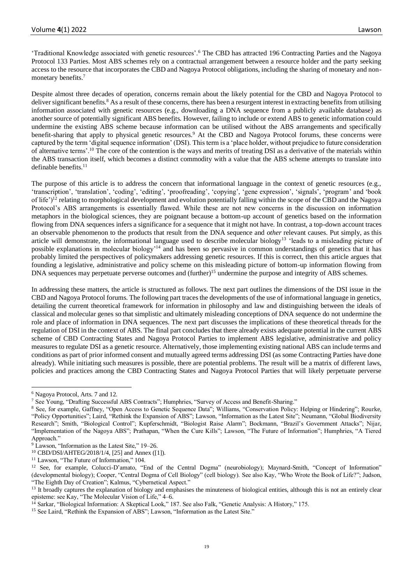'Traditional Knowledge associated with genetic resources'.<sup>6</sup> The CBD has attracted 196 Contracting Parties and the Nagoya Protocol 133 Parties. Most ABS schemes rely on a contractual arrangement between a resource holder and the party seeking access to the resource that incorporates the CBD and Nagoya Protocol obligations, including the sharing of monetary and nonmonetary benefits.<sup>7</sup>

Despite almost three decades of operation, concerns remain about the likely potential for the CBD and Nagoya Protocol to deliver significant benefits.<sup>8</sup> As a result of these concerns, there has been a resurgent interest in extracting benefits from utilising information associated with genetic resources (e.g., downloading a DNA sequence from a publicly available database) as another source of potentially significant ABS benefits. However, failing to include or extend ABS to genetic information could undermine the existing ABS scheme because information can be utilised without the ABS arrangements and specifically benefit-sharing that apply to physical genetic resources.<sup>9</sup> At the CBD and Nagoya Protocol forums, these concerns were captured by the term 'digital sequence information' (DSI). This term is a 'place holder, without prejudice to future consideration of alternative terms'.<sup>10</sup> The core of the contention is the ways and merits of treating DSI as a derivative of the materials within the ABS transaction itself, which becomes a distinct commodity with a value that the ABS scheme attempts to translate into definable benefits.<sup>11</sup>

The purpose of this article is to address the concern that informational language in the context of genetic resources (e.g., 'transcription', 'translation', 'coding', 'editing', 'proofreading', 'copying', 'gene expression', 'signals', 'program' and 'book of life')<sup>12</sup> relating to morphological development and evolution potentially falling within the scope of the CBD and the Nagoya Protocol's ABS arrangements is essentially flawed. While these are not new concerns in the discussion on information metaphors in the biological sciences, they are poignant because a bottom-up account of genetics based on the information flowing from DNA sequences infers a significance for a sequence that it might not have. In contrast, a top-down account traces an observable phenomenon to the products that result from the DNA sequence and *other* relevant causes. Put simply, as this article will demonstrate, the informational language used to describe molecular biology<sup>13</sup> 'leads to a misleading picture of possible explanations in molecular biology'<sup>14</sup> and has been so pervasive in common understandings of genetics that it has probably limited the perspectives of policymakers addressing genetic resources. If this is correct, then this article argues that founding a legislative, administrative and policy scheme on this misleading picture of bottom-up information flowing from DNA sequences may perpetuate perverse outcomes and (further)<sup>15</sup> undermine the purpose and integrity of ABS schemes.

In addressing these matters, the article is structured as follows. The next part outlines the dimensions of the DSI issue in the CBD and Nagoya Protocol forums. The following part traces the developments of the use of informational language in genetics, detailing the current theoretical framework for information in philosophy and law and distinguishing between the ideals of classical and molecular genes so that simplistic and ultimately misleading conceptions of DNA sequence do not undermine the role and place of information in DNA sequences. The next part discusses the implications of these theoretical threads for the regulation of DSI in the context of ABS. The final part concludes that there already exists adequate potential in the current ABS scheme of CBD Contracting States and Nagoya Protocol Parties to implement ABS legislative, administrative and policy measures to regulate DSI as a genetic resource. Alternatively, those implementing existing national ABS can include terms and conditions as part of prior informed consent and mutually agreed terms addressing DSI (as some Contracting Parties have done already). While initiating such measures is possible, there are potential problems. The result will be a matrix of different laws, policies and practices among the CBD Contracting States and Nagoya Protocol Parties that will likely perpetuate perverse

<sup>6</sup> Nagoya Protocol, Arts. 7 and 12.

<sup>7</sup> See Young, "Drafting Successful ABS Contracts"; Humphries, "Survey of Access and Benefit-Sharing."

<sup>&</sup>lt;sup>8</sup> See, for example, Gaffney, "Open Access to Genetic Sequence Data"; Williams, "Conservation Policy: Helping or Hindering"; Rourke, "Policy Opportunities"; Laird, "Rethink the Expansion of ABS"; Lawson, "Information as the Latest Site"; Neumann, "Global Biodiversity Research"; Smith, "Biological Control"; Kupferschmidt, "Biologist Raise Alarm"; Bockmann, "Brazil's Government Attacks"; Nijar, "Implementation of the Nagoya ABS"; Prathapan, "When the Cure Kills"; Lawson, "The Future of Information"; Humphries, "A Tiered Approach."

<sup>9</sup> Lawson, "Information as the Latest Site," 19–26.

<sup>10</sup> CBD/DSI/AHTEG/2018/1/4, [25] and Annex ([1]).

<sup>&</sup>lt;sup>11</sup> Lawson, "The Future of Information," 104.

<sup>&</sup>lt;sup>12</sup> See, for example, Colucci-D'amato, "End of the Central Dogma" (neurobiology); Maynard-Smith, "Concept of Information" (developmental biology); Cooper, "Central Dogma of Cell Biology" (cell biology). See also Kay, "Who Wrote the Book of Life?"; Judson, "The Eighth Day of Creation"; Kalmus, "Cybernetical Aspect."

<sup>&</sup>lt;sup>13</sup> It broadly captures the explanation of biology and emphasises the minuteness of biological entities, although this is not an entirely clear episteme: see Kay, "The Molecular Vision of Life," 4–6.

<sup>&</sup>lt;sup>14</sup> Sarkar, "Biological Information: A Skeptical Look," 187. See also Falk, "Genetic Analysis: A History," 175.

<sup>&</sup>lt;sup>15</sup> See Laird, "Rethink the Expansion of ABS"; Lawson, "Information as the Latest Site."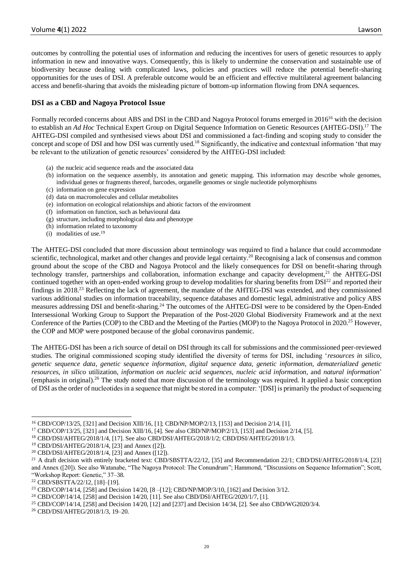outcomes by controlling the potential uses of information and reducing the incentives for users of genetic resources to apply information in new and innovative ways. Consequently, this is likely to undermine the conservation and sustainable use of biodiversity because dealing with complicated laws, policies and practices will reduce the potential benefit-sharing opportunities for the uses of DSI. A preferable outcome would be an efficient and effective multilateral agreement balancing access and benefit-sharing that avoids the misleading picture of bottom-up information flowing from DNA sequences.

# **DSI as a CBD and Nagoya Protocol Issue**

Formally recorded concerns about ABS and DSI in the CBD and Nagoya Protocol forums emerged in 2016<sup>16</sup> with the decision to establish an *Ad Hoc* Technical Expert Group on Digital Sequence Information on Genetic Resources (AHTEG-DSI).<sup>17</sup> The AHTEG-DSI compiled and synthesised views about DSI and commissioned a fact-finding and scoping study to consider the concept and scope of DSI and how DSI was currently used.<sup>18</sup> Significantly, the indicative and contextual information 'that may be relevant to the utilization of genetic resources' considered by the AHTEG-DSI included:

- (a) the nucleic acid sequence reads and the associated data
- (b) information on the sequence assembly, its annotation and genetic mapping. This information may describe whole genomes, individual genes or fragments thereof, barcodes, organelle genomes or single nucleotide polymorphisms
- (c) information on gene expression
- (d) data on macromolecules and cellular metabolites
- (e) information on ecological relationships and abiotic factors of the environment
- (f) information on function, such as behavioural data
- (g) structure, including morphological data and phenotype
- (h) information related to taxonomy
- (i) modalities of use.<sup>19</sup>

The AHTEG-DSI concluded that more discussion about terminology was required to find a balance that could accommodate scientific, technological, market and other changes and provide legal certainty.<sup>20</sup> Recognising a lack of consensus and common ground about the scope of the CBD and Nagoya Protocol and the likely consequences for DSI on benefit-sharing through technology transfer, partnerships and collaboration, information exchange and capacity development, $2<sup>1</sup>$  the AHTEG-DSI continued together with an open-ended working group to develop modalities for sharing benefits from  $DSI<sup>22</sup>$  and reported their findings in 2018.<sup>23</sup> Reflecting the lack of agreement, the mandate of the AHTEG-DSI was extended, and they commissioned various additional studies on information traceability, sequence databases and domestic legal, administrative and policy ABS measures addressing DSI and benefit-sharing.<sup>24</sup> The outcomes of the AHTEG-DSI were to be considered by the Open-Ended Intersessional Working Group to Support the Preparation of the Post-2020 Global Biodiversity Framework and at the next Conference of the Parties (COP) to the CBD and the Meeting of the Parties (MOP) to the Nagoya Protocol in 2020.<sup>25</sup> However, the COP and MOP were postponed because of the global coronavirus pandemic.

The AHTEG-DSI has been a rich source of detail on DSI through its call for submissions and the commissioned peer-reviewed studies. The original commissioned scoping study identified the diversity of terms for DSI, including '*resources in silico*, *genetic sequence data*, *genetic sequence information*, *digital sequence data*, *genetic information*, *dematerialized genetic resources*, *in silico* utilization, *information on nucleic acid sequences*, *nucleic acid information*, and *natural information*' (emphasis in original).<sup>26</sup> The study noted that more discussion of the terminology was required. It applied a basic conception of DSI as the order of nucleotides in a sequence that might be stored in a computer: '[DSI] is primarily the product of sequencing

<sup>16</sup> CBD/COP/13/25, [321] and Decision XIII/16, [1]; CBD/NP/MOP/2/13, [153] and Decision 2/14, [1].

<sup>17</sup> CBD/COP/13/25, [321] and Decision XIII/16, [4]. See also CBD/NP/MOP/2/13, [153] and Decision 2/14, [5].

<sup>18</sup> CBD/DSI/AHTEG/2018/1/4, [17]. See also CBD/DSI/AHTEG/2018/1/2; CBD/DSI/AHTEG/2018/1/3.

<sup>19</sup> CBD/DSI/AHTEG/2018/1/4, [23] and Annex ([2]).

<sup>20</sup> CBD/DSI/AHTEG/2018/1/4, [23] and Annex ([12]).

<sup>&</sup>lt;sup>21</sup> A draft decision with entirely bracketed text: CBD/SBSTTA/22/12, [35] and Recommendation 22/1; CBD/DSI/AHTEG/2018/1/4, [23] and Annex ([20]). See also Watanabe, "The Nagoya Protocol: The Conundrum"; Hammond, "Discussions on Sequence Information"; Scott, "Workshop Report: Genetic," 37–38.

<sup>22</sup> CBD/SBSTTA/22/12, [18]–[19].

<sup>&</sup>lt;sup>23</sup> CBD/COP/14/14, [258] and Decision 14/20, [8 –[12]; CBD/NP/MOP/3/10, [162] and Decision 3/12.

<sup>&</sup>lt;sup>24</sup> CBD/COP/14/14, [258] and Decision 14/20, [11]. See also CBD/DSI/AHTEG/2020/1/7, [1].

<sup>25</sup> CBD/COP/14/14, [258] and Decision 14/20, [12] and [237] and Decision 14/34, [2]. See also CBD/WG2020/3/4.

<sup>26</sup> CBD/DSI/AHTEG/2018/1/3, 19–20.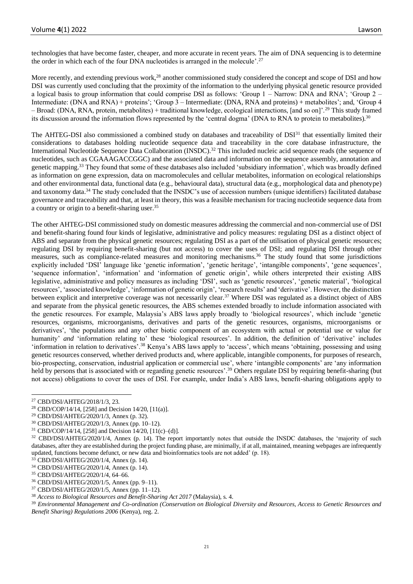technologies that have become faster, cheaper, and more accurate in recent years. The aim of DNA sequencing is to determine the order in which each of the four DNA nucleotides is arranged in the molecule'.<sup>27</sup>

More recently, and extending previous work,<sup>28</sup> another commissioned study considered the concept and scope of DSI and how DSI was currently used concluding that the proximity of the information to the underlying physical genetic resource provided a logical basis to group information that could comprise DSI as follows: 'Group 1 – Narrow: DNA and RNA'; 'Group 2 – Intermediate: (DNA and RNA) + proteins'; 'Group 3 – Intermediate: (DNA, RNA and proteins) + metabolites'; and, 'Group 4 – Broad: (DNA, RNA, protein, metabolites) + traditional knowledge, ecological interactions, [and so on]'.<sup>29</sup> This study framed its discussion around the information flows represented by the 'central dogma' (DNA to RNA to protein to metabolites).<sup>30</sup>

The AHTEG-DSI also commissioned a combined study on databases and traceability of DSI<sup>31</sup> that essentially limited their considerations to databases holding nucleotide sequence data and traceability in the core database infrastructure, the International Nucleotide Sequence Data Collaboration (INSDC).<sup>32</sup> This included nucleic acid sequence reads (the sequence of nucleotides, such as CGAAAGACCGGC) and the associated data and information on the sequence assembly, annotation and genetic mapping.<sup>33</sup> They found that some of these databases also included 'subsidiary information', which was broadly defined as information on gene expression, data on macromolecules and cellular metabolites, information on ecological relationships and other environmental data, functional data (e.g., behavioural data), structural data (e.g., morphological data and phenotype) and taxonomy data.<sup>34</sup> The study concluded that the INSDC's use of accession numbers (unique identifiers) facilitated database governance and traceability and that, at least in theory, this was a feasible mechanism for tracing nucleotide sequence data from a country or origin to a benefit-sharing user.<sup>35</sup>

The other AHTEG-DSI commissioned study on domestic measures addressing the commercial and non-commercial use of DSI and benefit-sharing found four kinds of legislative, administrative and policy measures: regulating DSI as a distinct object of ABS and separate from the physical genetic resources; regulating DSI as a part of the utilisation of physical genetic resources; regulating DSI by requiring benefit-sharing (but not access) to cover the uses of DSI; and regulating DSI through other measures, such as compliance-related measures and monitoring mechanisms.<sup>36</sup> The study found that some jurisdictions explicitly included 'DSI' language like 'genetic information', 'genetic heritage', 'intangible components', 'gene sequences', 'sequence information', 'information' and 'information of genetic origin', while others interpreted their existing ABS legislative, administrative and policy measures as including 'DSI', such as 'genetic resources', 'genetic material', 'biological resources', 'associated knowledge', 'information of genetic origin', 'research results' and 'derivative'. However, the distinction between explicit and interpretive coverage was not necessarily clear.<sup>37</sup> Where DSI was regulated as a distinct object of ABS and separate from the physical genetic resources, the ABS schemes extended broadly to include information associated with the genetic resources. For example, Malaysia's ABS laws apply broadly to 'biological resources', which include 'genetic resources, organisms, microorganisms, derivatives and parts of the genetic resources, organisms, microorganisms or derivatives', 'the populations and any other biotic component of an ecosystem with actual or potential use or value for humanity' *and* 'information relating to' these 'biological resources'. In addition, the definition of 'derivative' includes 'information in relation to derivatives'.<sup>38</sup> Kenya's ABS laws apply to 'access', which means 'obtaining, possessing and using genetic resources conserved, whether derived products and, where applicable, intangible components, for purposes of research, bio-prospecting, conservation, industrial application or commercial use', where 'intangible components' are 'any information held by persons that is associated with or regarding genetic resources'.<sup>39</sup> Others regulate DSI by requiring benefit-sharing (but not access) obligations to cover the uses of DSI. For example, under India's ABS laws, benefit-sharing obligations apply to

<sup>&</sup>lt;sup>27</sup> CBD/DSI/AHTEG/2018/1/3, 23.<br><sup>28</sup> CBD/COP/14/14, [2581 and Dec]

<sup>28</sup> CBD/COP/14/14, [258] and Decision 14/20, [11(a)].

<sup>29</sup> CBD/DSI/AHTEG/2020/1/3, Annex (p. 32).

<sup>30</sup> CBD/DSI/AHTEG/2020/1/3*,* Annex (pp. 10–12).

<sup>31</sup> CBD/COP/14/14, [258] and Decision 14/20, [11(c)–(d)].

<sup>&</sup>lt;sup>32</sup> CBD/DSI/AHTEG/2020/1/4, Annex (p. 14). The report importantly notes that outside the INSDC databases, the 'majority of such databases, after they are established during the project funding phase, are minimally, if at all, maintained, meaning webpages are infrequently updated, functions become defunct, or new data and bioinformatics tools are not added' (p. 18).

 $33$  CBD/DSI/AHTEG/2020/1/4, Annex (p. 14).

<sup>34</sup> CBD/DSI/AHTEG/2020/1/4, Annex (p. 14).

<sup>35</sup> CBD/DSI/AHTEG/2020/1/4, 64–66.

<sup>36</sup> CBD/DSI/AHTEG/2020/1/5, Annex (pp. 9–11).

<sup>37</sup> CBD/DSI/AHTEG/2020/1/5, Annex (pp. 11–12).

<sup>&</sup>lt;sup>38</sup> Access to Biological Resources and Benefit-Sharing Act 2017 (Malaysia), s. 4.

<sup>39</sup> *Environmental Management and Co-ordination (Conservation on Biological Diversity and Resources, Access to Genetic Resources and Benefit Sharing) Regulations 2006* (Kenya), reg. 2.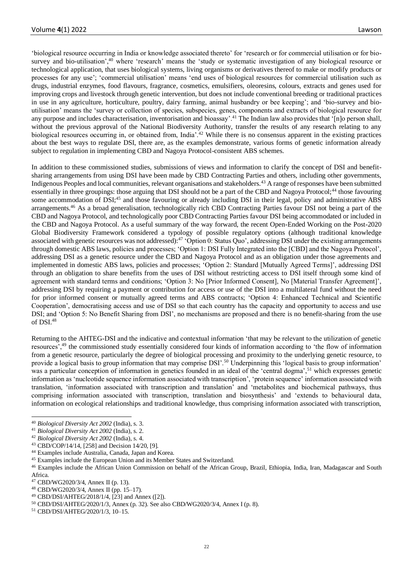'biological resource occurring in India or knowledge associated thereto' for 'research or for commercial utilisation or for biosurvey and bio-utilisation',<sup>40</sup> where 'research' means the 'study or systematic investigation of any biological resource or technological application, that uses biological systems, living organisms or derivatives thereof to make or modify products or processes for any use'; 'commercial utilisation' means 'end uses of biological resources for commercial utilisation such as drugs, industrial enzymes, food flavours, fragrance, cosmetics, emulsifiers, oleoresins, colours, extracts and genes used for improving crops and livestock through genetic intervention, but does not include conventional breeding or traditional practices in use in any agriculture, horticulture, poultry, dairy farming, animal husbandry or bee keeping'; and 'bio-survey and bioutilisation' means the 'survey or collection of species, subspecies, genes, components and extracts of biological resource for any purpose and includes characterisation, inventorisation and bioassay<sup>2,41</sup> The Indian law also provides that '[n]o person shall, without the previous approval of the National Biodiversity Authority, transfer the results of any research relating to any biological resources occurring in, or obtained from, India'.<sup>42</sup> While there is no consensus apparent in the existing practices about the best ways to regulate DSI, there are, as the examples demonstrate, various forms of genetic information already subject to regulation in implementing CBD and Nagoya Protocol-consistent ABS schemes.

In addition to these commissioned studies, submissions of views and information to clarify the concept of DSI and benefitsharing arrangements from using DSI have been made by CBD Contracting Parties and others, including other governments, Indigenous Peoples and local communities, relevant organisations and stakeholders.<sup>43</sup> A range of responses have been submitted essentially in three groupings: those arguing that DSI should not be a part of the CBD and Nagoya Protocol;<sup>44</sup> those favouring some accommodation of DSI;<sup>45</sup> and those favouring or already including DSI in their legal, policy and administrative ABS arrangements.<sup>46</sup> As a broad generalisation, technologically rich CBD Contracting Parties favour DSI not being a part of the CBD and Nagoya Protocol, and technologically poor CBD Contracting Parties favour DSI being accommodated or included in the CBD and Nagoya Protocol. As a useful summary of the way forward, the recent Open-Ended Working on the Post-2020 Global Biodiversity Framework considered a typology of possible regulatory options (although traditional knowledge associated with genetic resources was not addressed):<sup>47</sup> 'Option 0: Status Quo', addressing DSI under the existing arrangements through domestic ABS laws, policies and processes; 'Option 1: DSI Fully Integrated into the [CBD] and the Nagoya Protocol', addressing DSI as a genetic resource under the CBD and Nagoya Protocol and as an obligation under those agreements and implemented in domestic ABS laws, policies and processes; 'Option 2: Standard [Mutually Agreed Terms]', addressing DSI through an obligation to share benefits from the uses of DSI without restricting access to DSI itself through some kind of agreement with standard terms and conditions; 'Option 3: No [Prior Informed Consent], No [Material Transfer Agreement]', addressing DSI by requiring a payment or contribution for access or use of the DSI into a multilateral fund without the need for prior informed consent or mutually agreed terms and ABS contracts; 'Option 4: Enhanced Technical and Scientific Cooperation', democratising access and use of DSI so that each country has the capacity and opportunity to access and use DSI; and 'Option 5: No Benefit Sharing from DSI', no mechanisms are proposed and there is no benefit-sharing from the use of DSI.<sup>48</sup>

Returning to the AHTEG-DSI and the indicative and contextual information 'that may be relevant to the utilization of genetic resources',<sup>49</sup> the commissioned study essentially considered four kinds of information according to 'the flow of information from a genetic resource, particularly the degree of biological processing and proximity to the underlying genetic resource, to provide a logical basis to group information that may comprise DSI'.<sup>50</sup> Underpinning this 'logical basis to group information' was a particular conception of information in genetics founded in an ideal of the 'central dogma',<sup>51</sup> which expresses genetic information as 'nucleotide sequence information associated with transcription', 'protein sequence' information associated with translation, 'information associated with transcription and translation' and 'metabolites and biochemical pathways, thus comprising information associated with transcription, translation and biosynthesis' and 'extends to behavioural data, information on ecological relationships and traditional knowledge, thus comprising information associated with transcription,

- <sup>42</sup> *Biological Diversity Act 2002* (India), s. 4.
- <sup>43</sup> CBD/COP/14/14, [258] and Decision 14/20, [9].
- <sup>44</sup> Examples include Australia, Canada, Japan and Korea.
- <sup>45</sup> Examples include the European Union and its Member States and Switzerland.

- <sup>47</sup> CBD/WG2020/3/4, Annex II (p. 13).
- <sup>48</sup> CBD/WG2020/3/4, Annex II (pp. 15–17).
- <sup>49</sup> CBD/DSI/AHTEG/2018/1/4, [23] and Annex ([2]).
- <sup>50</sup> CBD/DSI/AHTEG/2020/1/3*,* Annex (p. 32). See also CBD/WG2020/3/4, Annex I (p. 8).
- <sup>51</sup> CBD/DSI/AHTEG/2020/1/3, 10–15.

<sup>40</sup> *Biological Diversity Act 2002* (India), s. 3.

<sup>41</sup> *Biological Diversity Act 2002* (India), s. 2.

<sup>&</sup>lt;sup>46</sup> Examples include the African Union Commission on behalf of the African Group, Brazil, Ethiopia, India, Iran, Madagascar and South Africa.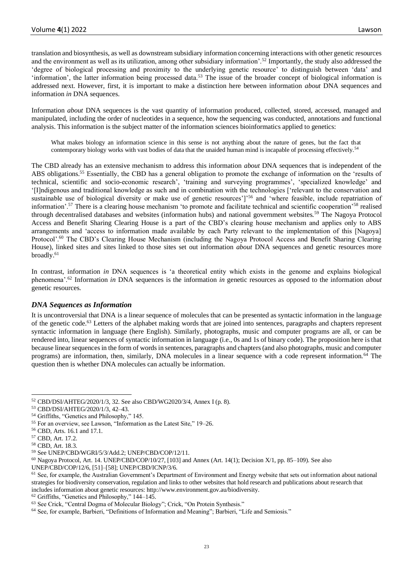translation and biosynthesis, as well as downstream subsidiary information concerning interactions with other genetic resources and the environment as well as its utilization, among other subsidiary information'.<sup>52</sup> Importantly, the study also addressed the 'degree of biological processing and proximity to the underlying genetic resource' to distinguish between 'data' and 'information', the latter information being processed data.<sup>53</sup> The issue of the broader concept of biological information is addressed next. However, first, it is important to make a distinction here between information *about* DNA sequences and information *in* DNA sequences.

Information *about* DNA sequences is the vast quantity of information produced, collected, stored, accessed, managed and manipulated, including the order of nucleotides in a sequence, how the sequencing was conducted, annotations and functional analysis. This information is the subject matter of the information sciences bioinformatics applied to genetics:

What makes biology an information science in this sense is not anything about the nature of genes, but the fact that contemporary biology works with vast bodies of data that the unaided human mind is incapable of processing effectively.<sup>54</sup>

The CBD already has an extensive mechanism to address this information *about* DNA sequences that is independent of the ABS obligations.<sup>55</sup> Essentially, the CBD has a general obligation to promote the exchange of information on the 'results of technical, scientific and socio-economic research', 'training and surveying programmes', 'specialized knowledge' and '[I]ndigenous and traditional knowledge as such and in combination with the technologies ['relevant to the conservation and sustainable use of biological diversity or make use of genetic resources']'<sup>56</sup> and 'where feasible, include repatriation of information'.<sup>57</sup> There is a clearing house mechanism 'to promote and facilitate technical and scientific cooperation'<sup>58</sup> realised through decentralised databases and websites (information hubs) and national government websites.<sup>59</sup> The Nagoya Protocol Access and Benefit Sharing Clearing House is a part of the CBD's clearing house mechanism and applies only to ABS arrangements and 'access to information made available by each Party relevant to the implementation of this [Nagoya] Protocol'.<sup>60</sup> The CBD's Clearing House Mechanism (including the Nagoya Protocol Access and Benefit Sharing Clearing House), linked sites and sites linked to those sites set out information *about* DNA sequences and genetic resources more broadly.<sup>61</sup>

In contrast, information *in* DNA sequences is 'a theoretical entity which exists in the genome and explains biological phenomena'.<sup>62</sup> Information *in* DNA sequences is the information *in* genetic resources as opposed to the information *about* genetic resources.

## *DNA Sequences as Information*

It is uncontroversial that DNA is a linear sequence of molecules that can be presented as syntactic information in the language of the genetic code.<sup>63</sup> Letters of the alphabet making words that are joined into sentences, paragraphs and chapters represent syntactic information in language (here English). Similarly, photographs, music and computer programs are all, or can be rendered into, linear sequences of syntactic information in language (i.e., 0s and 1s of binary code). The proposition here is that because linear sequences in the form of words in sentences, paragraphs and chapters (and also photographs, music and computer programs) are information, then, similarly, DNA molecules in a linear sequence with a code represent information.<sup>64</sup> The question then is whether DNA molecules can actually be information.

<sup>62</sup> Griffiths, "Genetics and Philosophy," 144–145.

<sup>52</sup> CBD/DSI/AHTEG/2020/1/3, 32. See also CBD/WG2020/3/4, Annex I (p. 8).

<sup>53</sup> CBD/DSI/AHTEG/2020/1/3, 42–43.

<sup>54</sup> Griffiths, "Genetics and Philosophy," 145.

<sup>55</sup> For an overview, see Lawson, "Information as the Latest Site," 19–26.

<sup>56</sup> CBD, Arts. 16.1 and 17.1.

<sup>57</sup> CBD, Art. 17.2.

<sup>58</sup> CBD, Art. 18.3.

<sup>59</sup> See UNEP/CBD/WGRI/5/3/Add.2; UNEP/CBD/COP/12/11.

 $60$  Nagoya Protocol, Art. 14. UNEP/CBD/COP/10/27, [103] and Annex (Art. 14(1); Decision X/1, pp. 85–109). See also

UNEP/CBD/COP/12/6, [51]–[58]; UNEP/CBD/ICNP/3/6.

 $<sup>61</sup>$  See, for example, the Australian Government's Department of Environment and Energy website that sets out information about national</sup> strategies for biodiversity conservation, regulation and links to other websites that hold research and publications about research that includes information about genetic resources: http://www.environment.gov.au/biodiversity.

<sup>63</sup> See Crick, "Central Dogma of Molecular Biology"; Crick, "On Protein Synthesis."

<sup>64</sup> See, for example, Barbieri, "Definitions of Information and Meaning"; Barbieri, "Life and Semiosis."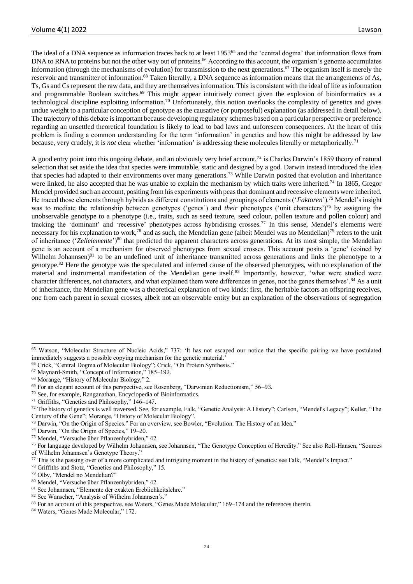The ideal of a DNA sequence as information traces back to at least 1953<sup>65</sup> and the 'central dogma' that information flows from DNA to RNA to proteins but not the other way out of proteins.<sup>66</sup> According to this account, the organism's genome accumulates information (through the mechanisms of evolution) for transmission to the next generations.<sup>67</sup> The organism itself is merely the reservoir and transmitter of information.<sup>68</sup> Taken literally, a DNA sequence as information means that the arrangements of As, Ts, Gs and Cs represent the raw data, and they are themselves information. This is consistent with the ideal of life as information and programmable Boolean switches.<sup>69</sup> This might appear intuitively correct given the explosion of bioinformatics as a technological discipline exploiting information.<sup>70</sup> Unfortunately, this notion overlooks the complexity of genetics and gives undue weight to a particular conception of genotype as the causative (or purposeful) explanation (as addressed in detail below). The trajectory of this debate is important because developing regulatory schemes based on a particular perspective or preference regarding an unsettled theoretical foundation is likely to lead to bad laws and unforeseen consequences. At the heart of this problem is finding a common understanding for the term 'information' in genetics and how this might be addressed by law because, very crudely, it is *not* clear whether 'information' is addressing these molecules literally or metaphorically.<sup>71</sup>

A good entry point into this ongoing debate, and an obviously very brief account,<sup>72</sup> is Charles Darwin's 1859 theory of natural selection that set aside the idea that species were immutable, static and designed by a god. Darwin instead introduced the idea that species had adapted to their environments over many generations.<sup>73</sup> While Darwin posited that evolution and inheritance were linked, he also accepted that he was unable to explain the mechanism by which traits were inherited.<sup>74</sup> In 1865, Gregor Mendel provided such an account, positing from his experiments with peas that dominant and recessive elements were inherited. He traced those elements through hybrids as different constitutions and groupings of elements ('*Faktoren*').<sup>75</sup> Mendel's insight was to mediate the relationship between genotypes ('genes') and *their* phenotypes ('unit characters')<sup>76</sup> by assigning the unobservable genotype to a phenotype (i.e., traits, such as seed texture, seed colour, pollen texture and pollen colour) and tracking the 'dominant' and 'recessive' phenotypes across hybridising crosses.<sup>77</sup> In this sense, Mendel's elements were necessary for his explanation to work,<sup>78</sup> and as such, the Mendelian gene (albeit Mendel was no Mendelian)<sup>79</sup> refers to the unit of inheritance ('*Zellelemente*')<sup>80</sup> that predicted the apparent characters across generations. At its most simple, the Mendelian gene is an account of a mechanism for observed phenotypes from sexual crosses. This account posits a 'gene' (coined by Wilhelm Johannsen) $81$  to be an undefined unit of inheritance transmitted across generations and links the phenotype to a genotype.<sup>82</sup> Here the genotype was the speculated and inferred cause of the observed phenotypes, with no explanation of the material and instrumental manifestation of the Mendelian gene itself.<sup>83</sup> Importantly, however, 'what were studied were character differences, not characters, and what explained them were differences in genes, not the genes themselves'.<sup>84</sup> As a unit of inheritance, the Mendelian gene was a theoretical explanation of two kinds: first, the heritable factors an offspring receives, one from each parent in sexual crosses, albeit not an observable entity but an explanation of the observations of segregation

<sup>&</sup>lt;sup>65</sup> Watson, "Molecular Structure of Nucleic Acids," 737: 'It has not escaped our notice that the specific pairing we have postulated immediately suggests a possible copying mechanism for the genetic material.'

<sup>66</sup> Crick, "Central Dogma of Molecular Biology"; Crick, "On Protein Synthesis."

<sup>67</sup> Maynard-Smith, "Concept of Information," 185–192.

<sup>68</sup> Morange, "History of Molecular Biology," 2.

<sup>69</sup> For an elegant account of this perspective, see Rosenberg, "Darwinian Reductionism," 56–93.

<sup>70</sup> See, for example, Ranganathan, Encyclopedia of Bioinformatics.

<sup>71</sup> Griffiths, "Genetics and Philosophy," 146–147.

<sup>&</sup>lt;sup>72</sup> The history of genetics is well traversed. See, for example, Falk, "Genetic Analysis: A History"; Carlson, "Mendel's Legacy"; Keller, "The Century of the Gene"; Morange, "History of Molecular Biology".

<sup>73</sup> Darwin, "On the Origin of Species." For an overview, see Bowler, "Evolution: The History of an Idea."

<sup>74</sup> Darwin, "On the Origin of Species," 19–20.

<sup>75</sup> Mendel, "Versuche über Pflanzenhybriden," 42.

<sup>76</sup> For language developed by Wilhelm Johannsen, see Johannsen, "The Genotype Conception of Heredity." See also Roll-Hansen, "Sources of Wilhelm Johannsen's Genotype Theory."

 $77$  This is the passing over of a more complicated and intriguing moment in the history of genetics: see Falk, "Mendel's Impact."

<sup>78</sup> Griffiths and Stotz, "Genetics and Philosophy," 15.

<sup>79</sup> Olby, "Mendel no Mendelian?"

<sup>80</sup> Mendel, "Versuche über Pflanzenhybriden," 42.

<sup>81</sup> See Johannsen, "Elemente der exakten Ereblichkeitslehre."

<sup>82</sup> See Wanscher, "Analysis of Wilhelm Johannsen's."

<sup>83</sup> For an account of this perspective, see Waters, "Genes Made Molecular," 169–174 and the references therein.

<sup>84</sup> Waters, "Genes Made Molecular," 172.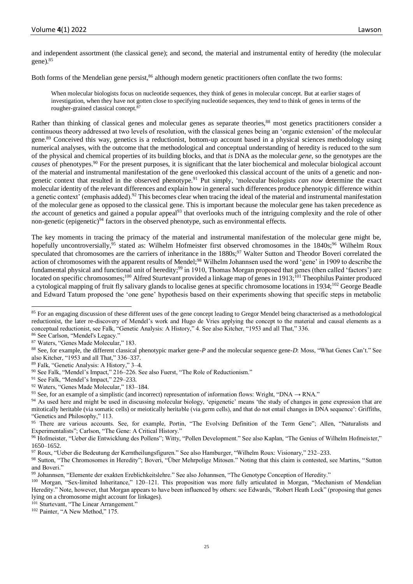and independent assortment (the classical gene); and second, the material and instrumental entity of heredity (the molecular gene).<sup>85</sup>

Both forms of the Mendelian gene persist,<sup>86</sup> although modern genetic practitioners often conflate the two forms:

When molecular biologists focus on nucleotide sequences, they think of genes in molecular concept. But at earlier stages of investigation, when they have not gotten close to specifying nucleotide sequences, they tend to think of genes in terms of the rougher-grained classical concept.<sup>87</sup>

Rather than thinking of classical genes and molecular genes as separate theories,<sup>88</sup> most genetics practitioners consider a continuous theory addressed at two levels of resolution, with the classical genes being an 'organic extension' of the molecular gene.<sup>89</sup> Conceived this way, genetics is a reductionist, bottom-up account based in a physical sciences methodology using numerical analyses, with the outcome that the methodological and conceptual understanding of heredity is reduced to the sum of the physical and chemical properties of its building blocks, and that *is* DNA as the molecular *gene*, so the genotypes are the *causes* of phenotypes.<sup>90</sup> For the present purposes, it is significant that the later biochemical and molecular biological account of the material and instrumental manifestation of the gene overlooked this classical account of the units of a genetic and nongenetic context that resulted in the observed phenotype.<sup>91</sup> Put simply, 'molecular biologists *can now* determine the exact molecular identity of the relevant differences and explain how in general such differences produce phenotypic difference within a genetic context' (emphasis added).<sup>92</sup> This becomes clear when tracing the ideal of the material and instrumental manifestation of the molecular gene as opposed to the classical gene. This is important because the molecular gene has taken precedence as *the* account of genetics and gained a popular appeal<sup>93</sup> that overlooks much of the intriguing complexity and the role of other non-genetic (epigenetic)<sup>94</sup> factors in the observed phenotype, such as environmental effects.

The key moments in tracing the primacy of the material and instrumental manifestation of the molecular gene might be, hopefully uncontroversially,<sup>95</sup> stated as: Wilhelm Hofmeister first observed chromosomes in the 1840s;<sup>96</sup> Wilhelm Roux speculated that chromosomes are the carriers of inheritance in the 1880s;<sup>97</sup> Walter Sutton and Theodor Boveri correlated the action of chromosomes with the apparent results of Mendel;<sup>98</sup> Wilhelm Johannsen used the word 'gene' in 1909 to describe the fundamental physical and functional unit of heredity;<sup>99</sup> in 1910, Thomas Morgan proposed that genes (then called 'factors') are located on specific chromosomes;<sup>100</sup> Alfred Sturtevant provided a linkage map of genes in 1913;<sup>101</sup> Theophilus Painter produced a cytological mapping of fruit fly salivary glands to localise genes at specific chromosome locations in 1934;<sup>102</sup> George Beadle and Edward Tatum proposed the 'one gene' hypothesis based on their experiments showing that specific steps in metabolic

<sup>102</sup> Painter, "A New Method," 175.

<sup>&</sup>lt;sup>85</sup> For an engaging discussion of these different uses of the gene concept leading to Gregor Mendel being characterised as a methodological reductionist, the later re-discovery of Mendel's work and Hugo de Vries applying the concept to the material and causal elements as a conceptual reductionist, see Falk, "Genetic Analysis: A History," 4. See also Kitcher, "1953 and all That," 336.

<sup>86</sup> See Carlson, "Mendel's Legacy."

<sup>87</sup> Waters, "Genes Made Molecular," 183.

<sup>88</sup> See, for example, the different classical phenotypic marker gene-*P* and the molecular sequence gene-*D*: Moss, "What Genes Can't." See also Kitcher, "1953 and all That," 336–337.

<sup>89</sup> Falk, "Genetic Analysis: A History," 3–4.

<sup>90</sup> See Falk, "Mendel's Impact," 216–226. See also Fuerst, "The Role of Reductionism."

<sup>91</sup> See Falk, "Mendel's Impact," 229–233.

<sup>92</sup> Waters, "Genes Made Molecular," 183–184.

<sup>93</sup> See, for an example of a simplistic (and incorrect) representation of information flows: Wright, "DNA  $\rightarrow$  RNA."

<sup>&</sup>lt;sup>94</sup> As used here and might be used in discussing molecular biology, 'epigenetic' means 'the study of changes in gene expression that are mitotically heritable (via somatic cells) or meiotically heritable (via germ cells), and that do not entail changes in DNA sequence': Griffiths, "Genetics and Philosophy," 113.

<sup>&</sup>lt;sup>95</sup> There are various accounts. See, for example, Portin, "The Evolving Definition of the Term Gene"; Allen, "Naturalists and Experimentalists"; Carlson, "The Gene: A Critical History."

<sup>96</sup> Hofmeister, "Ueber die Entwicklung des Pollens"; Witty, "Pollen Development." See also Kaplan, "The Genius of Wilhelm Hofmeister," 1650–1652.

<sup>97</sup> Roux, "Ueber die Bedeutung der Kerntheilungsfiguren." See also Hamburger, "Wilhelm Roux: Visionary," 232–233.

<sup>98</sup> Sutton, "The Chromosomes in Heredity"; Boveri, "Über Mehrpolige Mitosen." Noting that this claim is contested, see Martins, "Sutton and Boveri."

<sup>99</sup> Johannsen, "Elemente der exakten Ereblichkeitslehre." See also Johannsen, "The Genotype Conception of Heredity."

<sup>100</sup> Morgan, "Sex-limited Inheritance," 120-121. This proposition was more fully articulated in Morgan, "Mechanism of Mendelian Heredity." Note, however, that Morgan appears to have been influenced by others: see Edwards, "Robert Heath Lock" (proposing that genes lying on a chromosome might account for linkages).

<sup>&</sup>lt;sup>101</sup> Sturtevant, "The Linear Arrangement."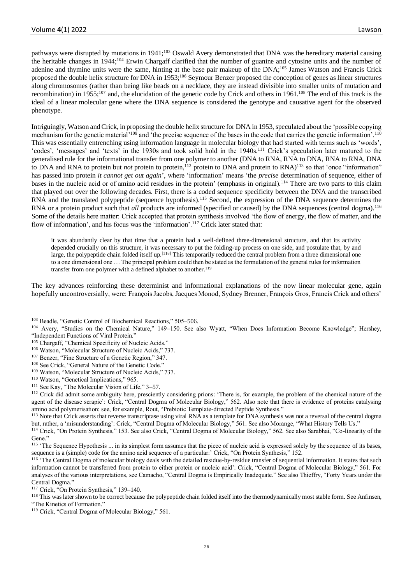pathways were disrupted by mutations in 1941;<sup>103</sup> Oswald Avery demonstrated that DNA was the hereditary material causing the heritable changes in 1944;<sup>104</sup> Erwin Chargaff clarified that the number of guanine and cytosine units and the number of adenine and thymine units were the same, hinting at the base pair makeup of the DNA;<sup>105</sup> James Watson and Francis Crick proposed the double helix structure for DNA in 1953;<sup>106</sup> Seymour Benzer proposed the conception of genes as linear structures along chromosomes (rather than being like beads on a necklace, they are instead divisible into smaller units of mutation and recombination) in 1955;<sup>107</sup> and, the elucidation of the genetic code by Crick and others in 1961.<sup>108</sup> The end of this track is the ideal of a linear molecular gene where the DNA sequence is considered the genotype and causative agent for the observed phenotype.

Intriguingly, Watson and Crick, in proposing the double helix structure for DNA in 1953, speculated about the 'possible copying mechanism for the genetic material<sup>'109</sup> and 'the precise sequence of the bases in the code that carries the genetic information'.<sup>110</sup> This was essentially entrenching using information language in molecular biology that had started with terms such as 'words', 'codes', 'messages' and 'texts' in the 1930s and took solid hold in the 1940s.<sup>111</sup> Crick's speculation later matured to the generalised rule for the informational transfer from one polymer to another (DNA to RNA, RNA to DNA, RNA to RNA, DNA to DNA and RNA to protein but *not* protein to protein,<sup>112</sup> protein to DNA and protein to RNA)<sup>113</sup> so that 'once "information" has passed into protein *it cannot get out again*', where 'information' means 'the *precise* determination of sequence, either of bases in the nucleic acid or of amino acid residues in the protein' (emphasis in original).<sup>114</sup> There are two parts to this claim that played out over the following decades. First, there is a coded sequence specificity between the DNA and the transcribed RNA and the translated polypeptide (sequence hypothesis).<sup>115</sup> Second, the expression of the DNA sequence determines the RNA or a protein product such that *all* products are informed (specified or caused) by the DNA sequences (central dogma).<sup>116</sup> Some of the details here matter: Crick accepted that protein synthesis involved 'the flow of energy, the flow of matter, and the flow of information', and his focus was the 'information'.<sup>117</sup> Crick later stated that:

it was abundantly clear by that time that a protein had a well-defined three-dimensional structure, and that its activity depended crucially on this structure, it was necessary to put the folding-up process on one side, and postulate that, by and large, the polypeptide chain folded itself up.<sup>[118]</sup> This temporarily reduced the central problem from a three dimensional one to a one dimensional one … The principal problem could then be stated as the formulation of the general rules for information transfer from one polymer with a defined alphabet to another.<sup>119</sup>

The key advances reinforcing these determinist and informational explanations of the now linear molecular gene, again hopefully uncontroversially, were: François Jacobs, Jacques Monod, Sydney Brenner, François Gros, Francis Crick and others'

<sup>&</sup>lt;sup>103</sup> Beadle, "Genetic Control of Biochemical Reactions," 505-506.

<sup>104</sup> Avery, "Studies on the Chemical Nature," 149–150. See also Wyatt, "When Does Information Become Knowledge"; Hershey, "Independent Functions of Viral Protein."

<sup>&</sup>lt;sup>105</sup> Chargaff, "Chemical Specificity of Nucleic Acids."

<sup>106</sup> Watson, "Molecular Structure of Nucleic Acids," 737.

<sup>&</sup>lt;sup>107</sup> Benzer, "Fine Structure of a Genetic Region," 347.

<sup>108</sup> See Crick, "General Nature of the Genetic Code."

<sup>109</sup> Watson, "Molecular Structure of Nucleic Acids," 737.

<sup>&</sup>lt;sup>110</sup> Watson, "Genetical Implications," 965.

<sup>111</sup> See Kay, "The Molecular Vision of Life," 3–57.

<sup>&</sup>lt;sup>112</sup> Crick did admit some ambiguity here, presciently considering prions: 'There is, for example, the problem of the chemical nature of the agent of the disease scrapie': Crick, "Central Dogma of Molecular Biology," 562. Also note that there is evidence of proteins catalysing amino acid polymerisation: see, for example, Rout, "Prebiotic Template-directed Peptide Synthesis."

<sup>&</sup>lt;sup>113</sup> Note that Crick asserts that reverse transcriptase using viral RNA as a template for DNA synthesis was not a reversal of the central dogma but, rather, a 'misunderstanding': Crick, "Central Dogma of Molecular Biology," 561. See also Morange, "What History Tells Us."

<sup>114</sup> Crick, "On Protein Synthesis," 153. See also Crick, "Central Dogma of Molecular Biology," 562. See also Sarabhai, "Co-linearity of the Gene."

<sup>&</sup>lt;sup>115</sup> 'The Sequence Hypothesis ... in its simplest form assumes that the piece of nucleic acid is expressed solely by the sequence of its bases, sequence is a (simple) code for the amino acid sequence of a particular:' Crick, "On Protein Synthesis," 152.

<sup>&</sup>lt;sup>116</sup> 'The Central Dogma of molecular biology deals with the detailed residue-by-residue transfer of sequential information. It states that such information cannot be transferred from protein to either protein or nucleic acid': Crick, "Central Dogma of Molecular Biology," 561. For analyses of the various interpretations, see Camacho, "Central Dogma is Empirically Inadequate." See also Thieffry, "Forty Years under the Central Dogma."

<sup>117</sup> Crick, "On Protein Synthesis," 139–140.

<sup>&</sup>lt;sup>118</sup> This was later shown to be correct because the polypeptide chain folded itself into the thermodynamically most stable form. See Anfinsen, "The Kinetics of Formation."

<sup>119</sup> Crick, "Central Dogma of Molecular Biology," 561.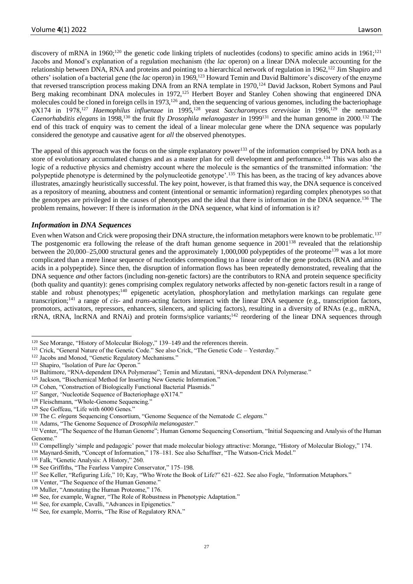discovery of mRNA in 1960;<sup>120</sup> the genetic code linking triplets of nucleotides (codons) to specific amino acids in 1961;<sup>121</sup> Jacobs and Monod's explanation of a regulation mechanism (the *lac* operon) on a linear DNA molecule accounting for the relationship between DNA, RNA and proteins and pointing to a hierarchical network of regulation in  $1962$ ,<sup>122</sup> Jim Shapiro and others' isolation of a bacterial gene (the *lac* operon) in 1969,<sup>123</sup> Howard Temin and David Baltimore's discovery of the enzyme that reversed transcription process making DNA from an RNA template in 1970,<sup>124</sup> David Jackson, Robert Symons and Paul Berg making recombinant DNA molecules in 1972,<sup>125</sup> Herbert Boyer and Stanley Cohen showing that engineered DNA molecules could be cloned in foreign cells in 1973,<sup>126</sup> and, then the sequencing of various genomes, including the bacteriophage φX174 in 1978,<sup>127</sup> *Haemophilus influenzae* in 1995,<sup>128</sup> yeast *Saccharomyces cerevisiae* in 1996,<sup>129</sup> the nematode *Caenorhabditis elegans* in 1998,<sup>130</sup> the fruit fly *Drosophila melanogaster* in 1999<sup>131</sup> and the human genome in 2000.<sup>132</sup> The end of this track of enquiry was to cement the ideal of a linear molecular gene where the DNA sequence was popularly considered the genotype and causative agent for *all* the observed phenotypes.

The appeal of this approach was the focus on the simple explanatory power<sup>133</sup> of the information comprised by DNA both as a store of evolutionary accumulated changes and as a master plan for cell development and performance.<sup>134</sup> This was also the logic of a reductive physics and chemistry account where the molecule is the semantics of the transmitted information: 'the polypeptide phenotype is determined by the polynucleotide genotype'.<sup>135</sup> This has been, as the tracing of key advances above illustrates, amazingly heuristically successful. The key point, however, is that framed this way, the DNA sequence is conceived as a repository of meaning, aboutness and content (intentional or semantic information) regarding complex phenotypes so that the genotypes are privileged in the causes of phenotypes and the ideal that there is information *in* the DNA sequence.<sup>136</sup> The problem remains, however: If there is information *in* the DNA sequence, what kind of information is it?

# *Information* **in** *DNA Sequences*

Even when Watson and Crick were proposing their DNA structure, the information metaphors were known to be problematic.<sup>137</sup> The postgenomic era following the release of the draft human genome sequence in 2001<sup>138</sup> revealed that the relationship between the 20,000–25,000 structural genes and the approximately 1,000,000 polypeptides of the proteome<sup>139</sup> was a lot more complicated than a mere linear sequence of nucleotides corresponding to a linear order of the gene products (RNA and amino acids in a polypeptide). Since then, the disruption of information flows has been repeatedly demonstrated, revealing that the DNA sequence *and* other factors (including non-genetic factors) are the contributors to RNA and protein sequence specificity (both quality and quantity): genes comprising complex regulatory networks affected by non-genetic factors result in a range of stable and robust phenotypes;<sup>140</sup> epigenetic acetylation, phosphorylation and methylation markings can regulate gene transcription;<sup>141</sup> a range of *cis*- and *trans*-acting factors interact with the linear DNA sequence (e.g., transcription factors, promotors, activators, repressors, enhancers, silencers, and splicing factors), resulting in a diversity of RNAs (e.g., mRNA, rRNA, tRNA, lncRNA and RNAi) and protein forms/splice variants;<sup>142</sup> reordering of the linear DNA sequences through

<sup>&</sup>lt;sup>120</sup> See Morange, "History of Molecular Biology," 139–149 and the references therein.

<sup>&</sup>lt;sup>121</sup> Crick, "General Nature of the Genetic Code." See also Crick, "The Genetic Code – Yesterday."

<sup>&</sup>lt;sup>122</sup> Jacobs and Monod, "Genetic Regulatory Mechanisms."

<sup>&</sup>lt;sup>123</sup> Shapiro, "Isolation of Pure lac Operon."

<sup>124</sup> Baltimore, "RNA-dependent DNA Polymerase"; Temin and Mizutani, "RNA-dependent DNA Polymerase."

<sup>&</sup>lt;sup>125</sup> Jackson, "Biochemical Method for Inserting New Genetic Information."

<sup>&</sup>lt;sup>126</sup> Cohen, "Construction of Biologically Functional Bacterial Plasmids."

<sup>127</sup> Sanger, 'Nucleotide Sequence of Bacteriophage φX174."

<sup>&</sup>lt;sup>128</sup> Fleischmann, "Whole-Genome Sequencing."

<sup>129</sup> See Goffeau, "Life with 6000 Genes."

<sup>130</sup> The *C. elegans* Sequencing Consortium, "Genome Sequence of the Nematode *C. elegans*."

<sup>131</sup> Adams, "The Genome Sequence of *Drosophila melanogaster*."

<sup>&</sup>lt;sup>132</sup> Venter, "The Sequence of the Human Genome"; Human Genome Sequencing Consortium, "Initial Sequencing and Analysis of the Human Genome."

<sup>133</sup> Compellingly 'simple and pedagogic' power that made molecular biology attractive: Morange, "History of Molecular Biology," 174.

<sup>134</sup> Maynard-Smith, "Concept of Information," 178–181. See also Schaffner, "The Watson-Crick Model."

<sup>135</sup> Falk, "Genetic Analysis: A History," 260.

<sup>&</sup>lt;sup>136</sup> See Griffiths, "The Fearless Vampire Conservator," 175–198.

<sup>&</sup>lt;sup>137</sup> See Keller, "Refiguring Life,"  $10$ ; Kay, "Who Wrote the Book of Life?"  $621-622$ . See also Fogle, "Information Metaphors."

<sup>&</sup>lt;sup>138</sup> Venter, "The Sequence of the Human Genome."

<sup>&</sup>lt;sup>139</sup> Muller, "Annotating the Human Proteome," 176.

<sup>&</sup>lt;sup>140</sup> See, for example, Wagner, "The Role of Robustness in Phenotypic Adaptation."

<sup>&</sup>lt;sup>141</sup> See, for example, Cavalli, "Advances in Epigenetics."

<sup>&</sup>lt;sup>142</sup> See, for example, Morris, "The Rise of Regulatory RNA."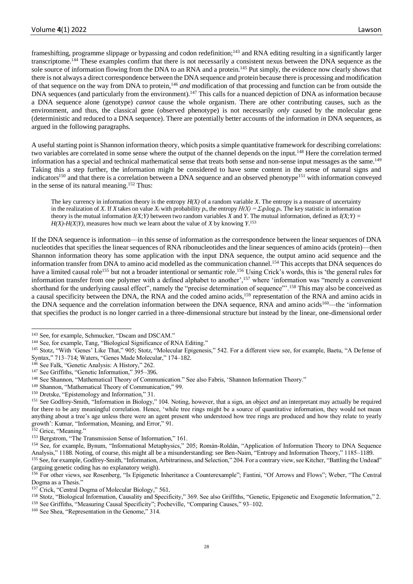frameshifting, programme slippage or bypassing and codon redefinition;<sup>143</sup> and RNA editing resulting in a significantly larger transcriptome.<sup>144</sup> These examples confirm that there is not necessarily a consistent nexus between the DNA sequence as the sole source of information flowing from the DNA to an RNA and a protein.<sup>145</sup> Put simply, the evidence now clearly shows that there is not always a direct correspondence between the DNA sequence and protein because there is processing and modification of that sequence on the way from DNA to protein,<sup>146</sup> *and* modification of that processing and function can be from outside the DNA sequences (and particularly from the environment).<sup>147</sup> This calls for a nuanced depiction of DNA as information because a DNA sequence alone (genotype) *cannot* cause the whole organism. There are other contributing causes, such as the environment, and thus, the classical gene (observed phenotype) is not necessarily *only* caused by the molecular gene (deterministic and reduced to a DNA sequence). There are potentially better accounts of the information *in* DNA sequences, as argued in the following paragraphs.

A useful starting point is Shannon information theory, which posits a simple quantitative framework for describing correlations: two variables are correlated in some sense where the output of the channel depends on the input.<sup>148</sup> Here the correlation termed information has a special and technical mathematical sense that treats both sense and non-sense input messages as the same.<sup>149</sup> Taking this a step further, the information might be considered to have some content in the sense of natural signs and indicators<sup>150</sup> and that there is a correlation between a DNA sequence and an observed phenotype<sup>151</sup> with information conveyed in the sense of its natural meaning.<sup>152</sup> Thus:

The key currency in information theory is the entropy  $H(X)$  of a random variable X. The entropy is a measure of uncertainty in the realization of *X*. If *X* takes on value  $X_i$  with probability  $p_i$ , the entropy  $H(X) = \sum_i p_i \log p_i$ . The key statistic in information theory is the mutual information  $I(X;Y)$  between two random variables X and Y. The mutual information, defined as  $I(X;Y)$  =  $H(X)$ - $H(X|Y)$ , measures how much we learn about the value of *X* by knowing *Y*.<sup>153</sup>

If the DNA sequence is information—in this sense of information as the correspondence between the linear sequences of DNA nucleotides that specifies the linear sequences of RNA ribonucleotides and the linear sequences of amino acids (protein)—then Shannon information theory has some application with the input DNA sequence, the output amino acid sequence and the information transfer from DNA to amino acid modelled as the communication channel.<sup>154</sup> This accepts that DNA sequences do have a limited causal role<sup>155</sup> but not a broader intentional or semantic role.<sup>156</sup> Using Crick's words, this is 'the general rules for information transfer from one polymer with a defined alphabet to another',<sup>157</sup> where 'information was "merely a convenient shorthand for the underlying causal effect", namely the "precise determination of sequence"'.<sup>158</sup> This may also be conceived as a causal specificity between the DNA, the RNA and the coded amino acids,<sup>159</sup> representation of the RNA and amino acids in the DNA sequence and the correlation information between the DNA sequence, RNA and amino acids<sup>160</sup>—the 'information that specifies the product is no longer carried in a three-dimensional structure but instead by the linear, one-dimensional order

<sup>150</sup> Dretske, "Epistemology and Information," 31.

<sup>143</sup> See, for example, Schmucker, "Dscam and DSCAM."

<sup>&</sup>lt;sup>144</sup> See, for example, Tang, "Biological Significance of RNA Editing."

<sup>&</sup>lt;sup>145</sup> Stotz, "With 'Genes' Like That," 905; Stotz, "Molecular Epigenesis," 542. For a different view see, for example, Baetu, "A Defense of Syntax," 713–714; Waters, "Genes Made Molecular," 174–182.

<sup>&</sup>lt;sup>146</sup> See Falk, "Genetic Analysis: A History," 262.

<sup>147</sup> See Griffiths, "Genetic Information," 395–396.

<sup>148</sup> See Shannon, "Mathematical Theory of Communication." See also Fabris, 'Shannon Information Theory."

<sup>149</sup> Shannon, "Mathematical Theory of Communication," 99.

<sup>&</sup>lt;sup>151</sup> See Godfrey-Smith, "Information in Biology," 104. Noting, however, that a sign, an object *and* an interpretant may actually be required for there to be any meaningful correlation. Hence, 'while tree rings might be a source of quantitative information, they would not mean anything about a tree's age unless there were an agent present who understood how tree rings are produced and how they relate to yearly growth': Kumar, "Information, Meaning, and Error," 91.

<sup>&</sup>lt;sup>152</sup> Grice, "Meaning."

<sup>&</sup>lt;sup>153</sup> Bergstrom, "The Transmission Sense of Information," 161.

<sup>154</sup> See, for example, Bynum, "Informational Metaphysics," 205; Román-Roldán, "Application of Information Theory to DNA Sequence Analysis," 1188. Noting, of course, this might all be a misunderstanding: see Ben-Naim, "Entropy and Information Theory," 1185–1189.

<sup>&</sup>lt;sup>155</sup> See, for example, Godfrey-Smith, "Information, Arbitrariness, and Selection," 204. For a contrary view, see Kitcher, "Battling the Undead" (arguing genetic coding has no explanatory weigh).

<sup>156</sup> For other views, see Rosenberg, "Is Epigenetic Inheritance a Counterexample"; Fantini, "Of Arrows and Flows"; Weber, "The Central Dogma as a Thesis."

<sup>&</sup>lt;sup>157</sup> Crick, "Central Dogma of Molecular Biology," 561.

<sup>158</sup> Stotz, "Biological Information, Causality and Specificity," 369. See also Griffiths, "Genetic, Epigenetic and Exogenetic Information," 2.

<sup>159</sup> See Griffiths, "Measuring Causal Specificity"; Pocheville*,* "Comparing Causes," 93–102.

<sup>&</sup>lt;sup>160</sup> See Shea, "Representation in the Genome," 314.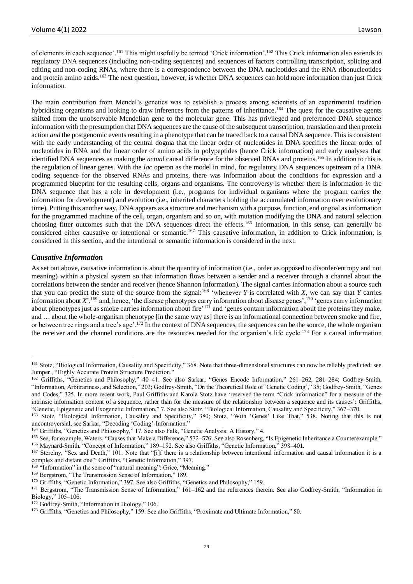of elements in each sequence'.<sup>161</sup> This might usefully be termed 'Crick information'.<sup>162</sup> This Crick information also extends to regulatory DNA sequences (including non-coding sequences) and sequences of factors controlling transcription, splicing and editing and non-coding RNAs, where there is a correspondence between the DNA nucleotides and the RNA ribonucleotides and protein amino acids.<sup>163</sup> The next question, however, is whether DNA sequences can hold more information than just Crick information.

The main contribution from Mendel's genetics was to establish a process among scientists of an experimental tradition hybridising organisms and looking to draw inferences from the patterns of inheritance.<sup>164</sup> The quest for the causative agents shifted from the unobservable Mendelian gene to the molecular gene. This has privileged and preferenced DNA sequence information with the presumption that DNA sequences are the cause of the subsequent transcription, translation and then protein action *and* the postgenomic events resulting in a phenotype that can be traced back to a causal DNA sequence. This is consistent with the early understanding of the central dogma that the linear order of nucleotides in DNA specifies the linear order of nucleotides in RNA and the linear order of amino acids in polypeptides (hence Crick information) and early analyses that identified DNA sequences as making the *actual* causal difference for the observed RNAs and proteins.<sup>165</sup> In addition to this is the regulation of linear genes. With the *lac* operon as the model in mind, for regulatory DNA sequences upstream of a DNA coding sequence for the observed RNAs and proteins, there was information about the conditions for expression and a programmed blueprint for the resulting cells, organs and organisms. The controversy is whether there is information *in* the DNA sequence that has a role in development (i.e., programs for individual organisms where the program carries the information for development) and evolution (i.e., inherited characters holding the accumulated information over evolutionary time). Putting this another way, DNA appears as a structure and mechanism with a purpose, function, end or goal as information for the programmed machine of the cell, organ, organism and so on, with mutation modifying the DNA and natural selection choosing fitter outcomes such that the DNA sequences direct the effects.<sup>166</sup> Information, in this sense, can generally be considered either causative or intentional or semantic.<sup>167</sup> This causative information, in addition to Crick information, is considered in this section, and the intentional or semantic information is considered in the next.

# *Causative Information*

As set out above, causative information is about the quantity of information (i.e., order as opposed to disorder/entropy and not meaning) within a physical system so that information flows between a sender and a receiver through a channel about the correlations between the sender and receiver (hence Shannon information). The signal carries information about a source such that you can predict the state of the source from the signal:<sup>168</sup> 'whenever *Y* is correlated with *X*, we can say that *Y* carries information about  $X'$ ,<sup>169</sup> and, hence, 'the disease phenotypes carry information about disease genes',<sup>170</sup> 'genes carry information about phenotypes just as smoke carries information about fire'<sup>171</sup> and 'genes contain information about the proteins they make, and … about the whole-organism phenotype [in the same way as] there is an informational connection between smoke and fire, or between tree rings and a tree's age'.<sup>172</sup> In the context of DNA sequences, the sequences can be the source, the whole organism the receiver and the channel conditions are the resources needed for the organism's life cycle.<sup>173</sup> For a causal information

<sup>168</sup> "Information" in the sense of "natural meaning": Grice, "Meaning."

<sup>&</sup>lt;sup>161</sup> Stotz, "Biological Information, Causality and Specificity," 368. Note that three-dimensional structures can now be reliably predicted: see Jumper , "Highly Accurate Protein Structure Prediction."

<sup>162</sup> Griffiths, "Genetics and Philosophy," 40–41. See also Sarkar, "Genes Encode Information," 261–262, 281–284; Godfrey-Smith, "Information, Arbitrariness, and Selection," 203; Godfrey-Smith, "On the Theoretical Role of 'Genetic Coding'," 35; Godfrey-Smith, "Genes and Codes," 325. In more recent work, Paul Griffiths and Karola Stotz have 'reserved the term "Crick information" for a measure of the intrinsic information content of a sequence, rather than for the measure of the relationship between a sequence and its causes': Griffiths, "Genetic, Epigenetic and Exogenetic Information," 7. See also Stotz, "Biological Information, Causality and Specificity," 367–370.

<sup>163</sup> Stotz, "Biological Information, Causality and Specificity," 380; Stotz, "With 'Genes' Like That," 538. Noting that this is not uncontroversial, see Sarkar, "Decoding 'Coding'-Information."

<sup>164</sup> Griffiths, "Genetics and Philosophy," 17. See also Falk, "Genetic Analysis: A History," 4.

<sup>165</sup> See, for example, Waters, "Causes that Make a Difference," 572–576. See also Rosenberg, "Is Epigenetic Inheritance a Counterexample." <sup>166</sup> Maynard-Smith, "Concept of Information," 189–192. See also Griffiths, "Genetic Information," 398–401.

<sup>&</sup>lt;sup>167</sup> Sterelny, "Sex and Death," 101. Note that "[i]f there is a relationship between intentional information and causal information it is a

complex and distant one": Griffiths, "Genetic Information," 397.

<sup>&</sup>lt;sup>169</sup> Bergstrom, "The Transmission Sense of Information," 189.

<sup>170</sup> Griffiths, "Genetic Information," 397. See also Griffiths, "Genetics and Philosophy," 159.

<sup>171</sup> Bergstrom, "The Transmission Sense of Information," 161-162 and the references therein. See also Godfrey-Smith, "Information in Biology," 105–106.

<sup>172</sup> Godfrey-Smith, "Information in Biology," 106.

<sup>173</sup> Griffiths, "Genetics and Philosophy," 159. See also Griffiths, "Proximate and Ultimate Information," 80.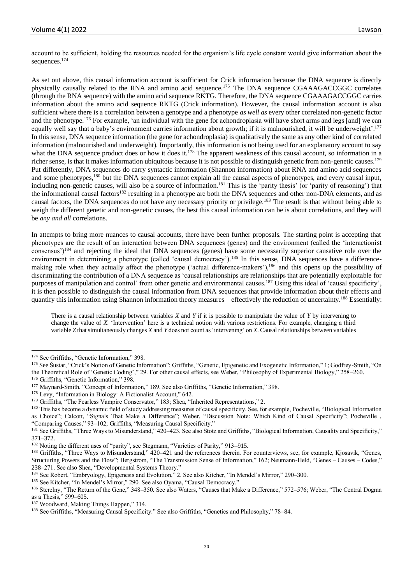account to be sufficient, holding the resources needed for the organism's life cycle constant would give information about the sequences.<sup>174</sup>

As set out above, this causal information account is sufficient for Crick information because the DNA sequence is directly physically causally related to the RNA and amino acid sequence.<sup>175</sup> The DNA sequence CGAAAGACCGGC correlates (through the RNA sequence) with the amino acid sequence RKTG. Therefore, the DNA sequence CGAAAGACCGGC carries information about the amino acid sequence RKTG (Crick information). However, the causal information account is also sufficient where there is a correlation between a genotype and a phenotype *as well as* every other correlated non-genetic factor and the phenotype.<sup>176</sup> For example, 'an individual with the gene for achondroplasia will have short arms and legs [and] we can equally well say that a baby's environment carries information about growth; if it is malnourished, it will be underweight'.<sup>177</sup> In this sense, DNA sequence information (the gene for achondroplasia) is qualitatively the same as any other kind of correlated information (malnourished and underweight). Importantly, this information is not being used for an explanatory account to say what the DNA sequence product does or how it does it.<sup>178</sup> The apparent weakness of this causal account, so information in a richer sense, is that it makes information ubiquitous because it is not possible to distinguish genetic from non-genetic causes.<sup>179</sup> Put differently, DNA sequences do carry syntactic information (Shannon information) about RNA and amino acid sequences and some phenotypes,<sup>180</sup> but the DNA sequences cannot explain all the causal aspects of phenotypes, and every causal input, including non-genetic causes, will also be a source of information.<sup>181</sup> This is the 'parity thesis' (or 'parity of reasoning') that the informational causal factors<sup>182</sup> resulting in a phenotype are both the DNA sequences and other non-DNA elements, and as causal factors, the DNA sequences do not have any necessary priority or privilege.<sup>183</sup> The result is that without being able to weigh the different genetic and non-genetic causes, the best this causal information can be is about correlations, and they will be *any and all* correlations.

In attempts to bring more nuances to causal accounts, there have been further proposals. The starting point is accepting that phenotypes are the result of an interaction between DNA sequences (genes) and the environment (called the 'interactionist consensus')<sup>184</sup> and rejecting the ideal that DNA sequences (genes) have some necessarily superior causative role over the environment in determining a phenotype (called 'causal democracy').<sup>185</sup> In this sense, DNA sequences have a differencemaking role when they actually affect the phenotype ('actual difference-makers'),<sup>186</sup> and this opens up the possibility of discriminating the contribution of a DNA sequence as 'causal relationships are relationships that are potentially exploitable for purposes of manipulation and control' from other genetic and environmental causes.<sup>187</sup> Using this ideal of 'causal specificity', it is then possible to distinguish the causal information from DNA sequences that provide information about their effects and quantify this information using Shannon information theory measures—effectively the reduction of uncertainty.<sup>188</sup> Essentially:

There is a causal relationship between variables *X* and *Y* if it is possible to manipulate the value of *Y* by intervening to change the value of *X*. 'Intervention' here is a technical notion with various restrictions. For example, changing a third variable *Z* that simultaneously changes *X* and *Y* does not count as 'intervening' on *X*. Causal relationships between variables

<sup>180</sup> This has become a dynamic field of study addressing measures of causal specificity. See, for example, Pocheville, "Biological Information as Choice"; Calcott, "Signals That Make a Difference"; Weber, "Discussion Note: Which Kind of Causal Specificity"; Pocheville , "Comparing Causes," 93–102; Griffiths, "Measuring Causal Specificity."

<sup>174</sup> See Griffiths, "Genetic Information," 398.

<sup>175</sup> See Šustar, "Crick's Notion of Genetic Information"; Griffiths, "Genetic, Epigenetic and Exogenetic Information," 1; Godfrey-Smith, "On the Theoretical Role of 'Genetic Coding'," 29. For other causal effects, see Weber, "Philosophy of Experimental Biology," 258–260. <sup>176</sup> Griffiths, "Genetic Information," 398.

<sup>177</sup> Maynard-Smith, "Concept of Information," 189. See also Griffiths, "Genetic Information," 398.

<sup>178</sup> Levy, "Information in Biology: A Fictionalist Account," 642.

<sup>&</sup>lt;sup>179</sup> Griffiths, "The Fearless Vampire Conservator," 183; Shea, "Inherited Representations," 2.

<sup>&</sup>lt;sup>181</sup> See Griffiths, "Three Ways to Misunderstand," 420–423. See also Stotz and Griffiths, "Biological Information, Causality and Specificity," 371–372.

<sup>182</sup> Noting the different uses of "parity", see Stegmann, "Varieties of Parity," 913–915.

<sup>&</sup>lt;sup>183</sup> Griffiths, "Three Ways to Misunderstand," 420–421 and the references therein. For counterviews, see, for example, Kjosavik, "Genes, Structuring Powers and the Flow"; Bergstrom, "The Transmission Sense of Information," 162; Neumann-Held, "Genes – Causes – Codes," 238–271. See also Shea, "Developmental Systems Theory."

<sup>184</sup> See Robert, "Embryology, Epigenesis and Evolution," 2. See also Kitcher, "In Mendel's Mirror," 290–300.

<sup>&</sup>lt;sup>185</sup> See Kitcher, "In Mendel's Mirror," 290. See also Oyama, "Causal Democracy."

<sup>186</sup> Sterelny, "The Return of the Gene," 348–350. See also Waters, "Causes that Make a Difference," 572–576; Weber, "The Central Dogma as a Thesis," 599–605.

<sup>187</sup> Woodward, Making Things Happen," 314.

<sup>188</sup> See Griffiths, "Measuring Causal Specificity." See also Griffiths, "Genetics and Philosophy," 78–84.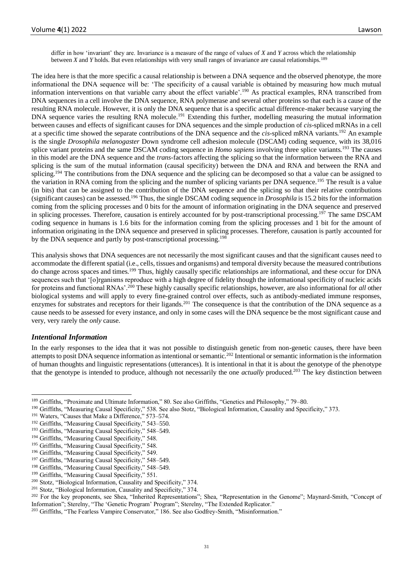differ in how 'invariant' they are. Invariance is a measure of the range of values of *X* and *Y* across which the relationship between *X* and *Y* holds. But even relationships with very small ranges of invariance are causal relationships.<sup>189</sup>

The idea here is that the more specific a causal relationship is between a DNA sequence and the observed phenotype, the more informational the DNA sequence will be: 'The specificity of a causal variable is obtained by measuring how much mutual information interventions on that variable carry about the effect variable'.<sup>190</sup> As practical examples, RNA transcribed from DNA sequences in a cell involve the DNA sequence, RNA polymerase and several other proteins so that each is a cause of the resulting RNA molecule. However, it is only the DNA sequence that is a specific actual difference-maker because varying the DNA sequence varies the resulting RNA molecule.<sup>191</sup> Extending this further, modelling measuring the mutual information between causes and effects of significant causes for DNA sequences and the simple production of *cis*-spliced mRNAs in a cell at a specific time showed the separate contributions of the DNA sequence and the *cis*-spliced mRNA variants.<sup>192</sup> An example is the single *Drosophila melanogaster* Down syndrome cell adhesion molecule (DSCAM) coding sequence, with its 38,016 splice variant proteins and the same DSCAM coding sequence in *Homo sapiens* involving three splice variants.<sup>193</sup> The causes in this model are the DNA sequence and the *trans*-factors affecting the splicing so that the information between the RNA and splicing is the sum of the mutual information (causal specificity) between the DNA and RNA and between the RNA and splicing.<sup>194</sup> The contributions from the DNA sequence and the splicing can be decomposed so that a value can be assigned to the variation in RNA coming from the splicing and the number of splicing variants per DNA sequence.<sup>195</sup> The result is a value (in bits) that can be assigned to the contribution of the DNA sequence and the splicing so that their relative contributions (significant causes) can be assessed.<sup>196</sup> Thus, the single DSCAM coding sequence in *Drosophila* is 15.2 bits for the information coming from the splicing processes and 0 bits for the amount of information originating in the DNA sequence and preserved in splicing processes. Therefore, causation is entirely accounted for by post-transcriptional processing.<sup>197</sup> The same DSCAM coding sequence in humans is 1.6 bits for the information coming from the splicing processes and 1 bit for the amount of information originating in the DNA sequence and preserved in splicing processes. Therefore, causation is partly accounted for by the DNA sequence and partly by post-transcriptional processing.<sup>198</sup>

This analysis shows that DNA sequences are not necessarily the most significant causes and that the significant causes need to accommodate the different spatial (i.e., cells, tissues and organisms) and temporal diversity because the measured contributions do change across spaces and times.<sup>199</sup> Thus, highly causally specific relationships are informational, and these occur for DNA sequences such that '[o]rganisms reproduce with a high degree of fidelity though the informational specificity of nucleic acids for proteins and functional RNAs'.<sup>200</sup> These highly causally specific relationships, however, are also informational for *all* other biological systems and will apply to every fine-grained control over effects, such as antibody-mediated immune responses, enzymes for substrates and receptors for their ligands.<sup>201</sup> The consequence is that the contribution of the DNA sequence as a cause needs to be assessed for every instance, and only in some cases will the DNA sequence be the most significant cause and very, very rarely the *only* cause.

#### *Intentional Information*

In the early responses to the idea that it was not possible to distinguish genetic from non-genetic causes, there have been attempts to posit DNA sequence information as intentional or semantic.<sup>202</sup> Intentional or semantic information is the information of human thoughts and linguistic representations (utterances). It is intentional in that it is about the genotype of the phenotype that the genotype is intended to produce, although not necessarily the one *actually* produced.<sup>203</sup> The key distinction between

<sup>193</sup> Griffiths, "Measuring Causal Specificity," 548–549.

<sup>189</sup> Griffiths, "Proximate and Ultimate Information," 80. See also Griffiths, "Genetics and Philosophy," 79–80.

<sup>190</sup> Griffiths, "Measuring Causal Specificity," 538. See also Stotz, "Biological Information, Causality and Specificity," 373.

<sup>&</sup>lt;sup>191</sup> Waters, "Causes that Make a Difference," 573-574.

<sup>&</sup>lt;sup>192</sup> Griffiths, "Measuring Causal Specificity," 543-550.

<sup>194</sup> Griffiths, "Measuring Causal Specificity," 548.

<sup>195</sup> Griffiths, "Measuring Causal Specificity," 548.

<sup>196</sup> Griffiths, "Measuring Causal Specificity," 549.

<sup>&</sup>lt;sup>197</sup> Griffiths, "Measuring Causal Specificity," 548-549.

<sup>198</sup> Griffiths, "Measuring Causal Specificity," 548–549.

<sup>&</sup>lt;sup>199</sup> Griffiths, "Measuring Causal Specificity," 551.

<sup>200</sup> Stotz, "Biological Information, Causality and Specificity," 374.

<sup>201</sup> Stotz, "Biological Information, Causality and Specificity," 374.

<sup>&</sup>lt;sup>202</sup> For the key proponents, see Shea, "Inherited Representations"; Shea, "Representation in the Genome"; Maynard-Smith, "Concept of Information"; Sterelny, "The 'Genetic Program' Program"; Sterelny, "The Extended Replicator."

<sup>&</sup>lt;sup>203</sup> Griffiths, "The Fearless Vampire Conservator," 186. See also Godfrey-Smith, "Misinformation."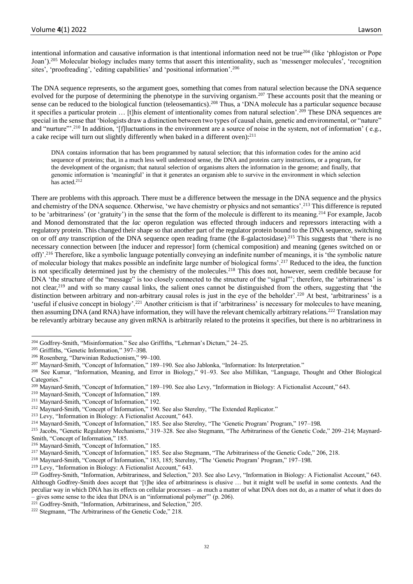intentional information and causative information is that intentional information need not be true<sup>204</sup> (like 'phlogiston or Pope Joan').<sup>205</sup> Molecular biology includes many terms that assert this intentionality, such as 'messenger molecules', 'recognition sites', 'proofreading', 'editing capabilities' and 'positional information'.<sup>206</sup>

The DNA sequence represents, so the argument goes, something that comes from natural selection because the DNA sequence evolved for the purpose of determining the phenotype in the surviving organism.<sup>207</sup> These accounts posit that the meaning or sense can be reduced to the biological function (teleosemantics).<sup>208</sup> Thus, a 'DNA molecule has a particular sequence because it specifies a particular protein ... [t]his element of intentionality comes from natural selection'.<sup>209</sup> These DNA sequences are special in the sense that 'biologists draw a distinction between two types of causal chain, genetic and environmental, or "nature" and "nurture"'.<sup>210</sup> In addition, '[f]luctuations in the environment are a source of noise in the system, not of information' (e.g., a cake recipe will turn out slightly differently when baked in a different oven):<sup>211</sup>

DNA contains information that has been programmed by natural selection; that this information codes for the amino acid sequence of proteins; that, in a much less well understood sense, the DNA and proteins carry instructions, or a program, for the development of the organism; that natural selection of organisms alters the information in the genome; and finally, that genomic information is 'meaningful' in that it generates an organism able to survive in the environment in which selection has acted.<sup>212</sup>

There are problems with this approach. There must be a difference between the message in the DNA sequence and the physics and chemistry of the DNA sequence. Otherwise, 'we have chemistry or physics and not semantics'.<sup>213</sup> This difference is reputed to be 'arbitrariness' (or 'gratuity') in the sense that the form of the molecule is different to its meaning.<sup>214</sup> For example, Jacob and Monod demonstrated that the *lac* operon regulation was effected through inducers and repressors interacting with a regulatory protein. This changed their shape so that another part of the regulator protein bound to the DNA sequence, switching on or off *any* transcription of the DNA sequence open reading frame (the ß-galactosidase).<sup>215</sup> This suggests that 'there is no necessary connection between [the inducer and repressor] form (chemical composition) and meaning (genes switched on or off)'.<sup>216</sup> Therefore, like a symbolic language potentially conveying an indefinite number of meanings, it is 'the symbolic nature of molecular biology that makes possible an indefinite large number of biological forms'.<sup>217</sup> Reduced to the idea, the function is not specifically determined just by the chemistry of the molecules.<sup>218</sup> This does not, however, seem credible because for DNA 'the structure of the "message" is too closely connected to the structure of the "signal"'; therefore, the 'arbitrariness' is not clear,<sup>219</sup> and with so many causal links, the salient ones cannot be distinguished from the others, suggesting that 'the distinction between arbitrary and non-arbitrary causal roles is just in the eye of the beholder'.<sup>220</sup> At best, 'arbitrariness' is a 'useful if elusive concept in biology'.<sup>221</sup> Another criticism is that if 'arbitrariness' is necessary for molecules to have meaning, then assuming DNA (and RNA) have information, they will have the relevant chemically arbitrary relations.<sup>222</sup> Translation may be relevantly arbitrary because any given mRNA is arbitrarily related to the proteins it specifies, but there is no arbitrariness in

<sup>209</sup> Maynard-Smith, "Concept of Information," 189–190. See also Levy, "Information in Biology: A Fictionalist Account," 643.

<sup>214</sup> Maynard-Smith, "Concept of Information," 185. See also Sterelny, "The 'Genetic Program' Program," 197–198.

<sup>215</sup> Jacobs, "Genetic Regulatory Mechanisms," 319–328. See also Stegmann, "The Arbitrariness of the Genetic Code," 209–214; Maynard-Smith, "Concept of Information," 185.

<sup>204</sup> Godfrey-Smith, "Misinformation." See also Griffiths, "Lehrman's Dictum," 24–25.

<sup>&</sup>lt;sup>205</sup> Griffiths, "Genetic Information," 397-398.

<sup>206</sup> Rosenberg, "Darwinian Reductionism," 99–100.

<sup>207</sup> Maynard-Smith, "Concept of Information," 189–190. See also Jablonka, "Information: Its Interpretation."

<sup>208</sup> See Kumar, "Information, Meaning, and Error in Biology," 91–93. See also Millikan, "Language, Thought and Other Biological Categories."

<sup>210</sup> Maynard-Smith, "Concept of Information," 189.

<sup>211</sup> Maynard-Smith, "Concept of Information," 192.

<sup>&</sup>lt;sup>212</sup> Maynard-Smith, "Concept of Information," 190. See also Sterelny, "The Extended Replicator."

<sup>213</sup> Levy, "Information in Biology: A Fictionalist Account," 643.

<sup>216</sup> Maynard-Smith, "Concept of Information," 185.

<sup>217</sup> Maynard-Smith, "Concept of Information," 185. See also Stegmann, "The Arbitrariness of the Genetic Code," 206, 218.

<sup>218</sup> Maynard-Smith, "Concept of Information," 183, 185; Sterelny, "The 'Genetic Program' Program," 197–198.

<sup>219</sup> Levy, "Information in Biology: A Fictionalist Account," 643.

<sup>&</sup>lt;sup>220</sup> Godfrey-Smith, "Information, Arbitrariness, and Selection," 203. See also Levy, "Information in Biology: A Fictionalist Account," 643. Although Godfrey-Smith does accept that '[t]he idea of arbitrariness is elusive … but it might well be useful in some contexts. And the peculiar way in which DNA has its effects on cellular processes – as much a matter of what DNA does not do, as a matter of what it does do – gives some sense to the idea that DNA is an "informational polymer"' (p. 206).

<sup>&</sup>lt;sup>221</sup> Godfrey-Smith, "Information, Arbitrariness, and Selection," 205.

<sup>222</sup> Stegmann, "The Arbitrariness of the Genetic Code," 218.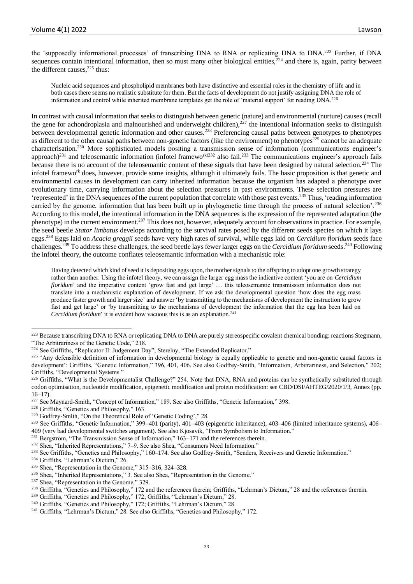the 'supposedly informational processes' of transcribing DNA to RNA or replicating DNA to DNA.<sup>223</sup> Further, if DNA sequences contain intentional information, then so must many other biological entities, $224$  and there is, again, parity between the different causes.<sup>225</sup> thus:

Nucleic acid sequences and phospholipid membranes both have distinctive and essential roles in the chemistry of life and in both cases there seems no realistic substitute for them. But the facts of development do not justify assigning DNA the role of information and control while inherited membrane templates get the role of 'material support' for reading DNA.<sup>226</sup>

In contrast with causal information that seeks to distinguish between genetic (nature) and environmental (nurture) causes (recall the gene for achondroplasia and malnourished and underweight children),<sup>227</sup> the intentional information seeks to distinguish between developmental genetic information and other causes.<sup>228</sup> Preferencing causal paths between genotypes to phenotypes as different to the other causal paths between non-genetic factors (like the environment) to phenotypes<sup>229</sup> cannot be an adequate characterisation.<sup>230</sup> More sophisticated models positing a transmission sense of information (communications engineer's approach)<sup>231</sup> and teleosemantic information (infotel framewo<sup>rk)232</sup> also fail.<sup>233</sup> The communications engineer's approach fails because there is no account of the teleosemantic content of these signals that have been designed by natural selection.<sup>234</sup> The infotel framework does, however, provide some insights, although it ultimately fails. The basic proposition is that genetic and environmental causes in development can carry inherited information because the organism has adapted a phenotype over evolutionary time, carrying information about the selection pressures in past environments. These selection pressures are 'represented' in the DNA sequences of the current population that correlate with those past events.<sup>235</sup> Thus, 'reading information carried by the genome, information that has been built up in phylogenetic time through the process of natural selection'.<sup>236</sup> According to this model, the intentional information in the DNA sequences is the expression of the represented adaptation (the phenotype) in the current environment.<sup>237</sup> This does not, however, adequately account for observations in practice. For example, the seed beetle *Stator limbatus* develops according to the survival rates posed by the different seeds species on which it lays eggs.<sup>238</sup> Eggs laid on *Acacia greggii* seeds have very high rates of survival, while eggs laid on *Cercidium floridum* seeds face challenges.<sup>239</sup> To address these challenges, the seed beetle lays fewer larger eggs on the *Cercidium floridum* seeds.<sup>240</sup> Following the infotel theory, the outcome conflates teleosemantic information with a mechanistic role:

Having detected which kind of seed it is depositing eggs upon, the mother signals to the offspring to adopt one growth strategy rather than another. Using the infotel theory, we can assign the larger egg mass the indicative content 'you are on *Cercidium floridum*' and the imperative content 'grow fast and get large' … this teleosemantic transmission information does not translate into a mechanistic explanation of development. If we ask the developmental question 'how does the egg mass produce faster growth and larger size' and answer 'by transmitting to the mechanisms of development the instruction to grow fast and get large' or 'by transmitting to the mechanisms of development the information that the egg has been laid on *Cercidium floridum*' it is evident how vacuous this is as an explanation.<sup>241</sup>

<sup>&</sup>lt;sup>223</sup> Because transcribing DNA to RNA or replicating DNA to DNA are purely stereospecific covalent chemical bonding: reactions Stegmann, "The Arbitrariness of the Genetic Code," 218.

<sup>&</sup>lt;sup>224</sup> See Griffiths, "Replicator II: Judgement Day"; Sterelny, "The Extended Replicator."

<sup>&</sup>lt;sup>225</sup> 'Any defensible definition of information in developmental biology is equally applicable to genetic and non-genetic causal factors in development': Griffiths, "Genetic Information," 396, 401, 406. See also Godfrey-Smith, "Information, Arbitrariness, and Selection," 202; Griffiths, "Developmental Systems."

<sup>&</sup>lt;sup>226</sup> Griffiths, "What is the Developmentalist Challenge?" 254. Note that DNA, RNA and proteins can be synthetically substituted through codon optimisation, nucleotide modification, epigenetic modification and protein modification: see CBD/DSI/AHTEG/2020/1/3, Annex (pp.  $16-17$ ).<br>227 See

See Maynard-Smith, "Concept of Information," 189. See also Griffiths, "Genetic Information," 398.

<sup>228</sup> Griffiths, "Genetics and Philosophy," 163.

<sup>229</sup> Godfrey-Smith, "On the Theoretical Role of 'Genetic Coding'," 28.

<sup>&</sup>lt;sup>230</sup> See Griffiths, "Genetic Information," 399-401 (parity), 401-403 (epigenetic inheritance), 403-406 (limited inheritance systems), 406-409 (very bad developmental switches argument). See also Kjosavik, "From Symbolism to Information."

<sup>&</sup>lt;sup>231</sup> Bergstrom, "The Transmission Sense of Information,"  $163-171$  and the references therein.

<sup>232</sup> Shea, "Inherited Representations," 7–9. See also Shea, "Consumers Need Information."

<sup>&</sup>lt;sup>233</sup> See Griffiths, "Genetics and Philosophy," 160–174. See also Godfrey-Smith, "Senders, Receivers and Genetic Information."

<sup>234</sup> Griffiths, "Lehrman's Dictum," 26.

<sup>235</sup> Shea, "Representation in the Genome," 315–316, 324–328.

<sup>236</sup> Shea, "Inherited Representations," 3. See also Shea, "Representation in the Genome."

<sup>237</sup> Shea, "Representation in the Genome," 329.

<sup>&</sup>lt;sup>238</sup> Griffiths, "Genetics and Philosophy," 172 and the references therein; Griffiths, "Lehrman's Dictum," 28 and the references therein.

<sup>&</sup>lt;sup>239</sup> Griffiths, "Genetics and Philosophy," 172; Griffiths, "Lehrman's Dictum," 28.

<sup>&</sup>lt;sup>240</sup> Griffiths, "Genetics and Philosophy," 172; Griffiths, "Lehrman's Dictum," 28.

<sup>&</sup>lt;sup>241</sup> Griffiths, "Lehrman's Dictum," 28. See also Griffiths, "Genetics and Philosophy," 172.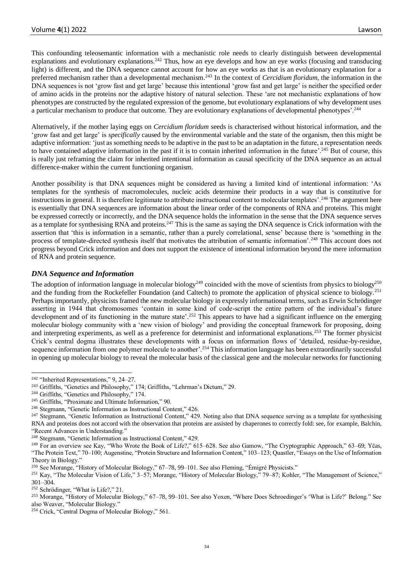This confounding teleosemantic information with a mechanistic role needs to clearly distinguish between developmental explanations and evolutionary explanations.<sup>242</sup> Thus, how an eye develops and how an eye works (focusing and transducing light) is different, and the DNA sequence cannot account for how an eye works as that is an evolutionary explanation for a preferred mechanism rather than a developmental mechanism.<sup>243</sup> In the context of *Cercidium floridum*, the information in the DNA sequences is not 'grow fast and get large' because this intentional 'grow fast and get large' is neither the specified order of amino acids in the proteins nor the adaptive history of natural selection. These 'are not mechanistic explanations of how phenotypes are constructed by the regulated expression of the genome, but evolutionary explanations of why development uses a particular mechanism to produce that outcome. They are evolutionary explanations of developmental phenotypes'.<sup>244</sup>

Alternatively, if the mother laying eggs on *Cercidium floridum* seeds is characterised without historical information, and the 'grow fast and get large' is *specifically* caused by the environmental variable and the state of the organism, then this might be adaptive information: 'just as something needs to be adaptive in the past to be an adaptation in the future, a representation needs to have contained adaptive information in the past if it is to contain inherited information in the future'.<sup>245</sup> But of course, this is really just reframing the claim for inherited intentional information as causal specificity of the DNA sequence as an actual difference-maker within the current functioning organism.

Another possibility is that DNA sequences might be considered as having a limited kind of intentional information: 'As templates for the synthesis of macromolecules, nucleic acids determine their products in a way that is constitutive for instructions in general. It is therefore legitimate to attribute instructional content to molecular templates'.<sup>246</sup> The argument here is essentially that DNA sequences are information about the linear order of the components of RNA and proteins. This might be expressed correctly or incorrectly, and the DNA sequence holds the information in the sense that the DNA sequence serves as a template for synthesising RNA and proteins.<sup>247</sup> This is the same as saying the DNA sequence is Crick information with the assertion that 'this is information in a semantic, rather than a purely correlational, sense' because there is 'something in the process of template-directed synthesis itself that motivates the attribution of semantic information'.<sup>248</sup> This account does not progress beyond Crick information and does not support the existence of intentional information beyond the mere information of RNA and protein sequence.

# *DNA Sequence and Information*

The adoption of information language in molecular biology<sup>249</sup> coincided with the move of scientists from physics to biology<sup>250</sup> and the funding from the Rockefeller Foundation (and Caltech) to promote the application of physical science to biology.<sup>251</sup> Perhaps importantly, physicists framed the new molecular biology in expressly informational terms, such as Erwin Schrödinger asserting in 1944 that chromosomes 'contain in some kind of code-script the entire pattern of the individual's future development and of its functioning in the mature state'.<sup>252</sup> This appears to have had a significant influence on the emerging molecular biology community with a 'new vision of biology' and providing the conceptual framework for proposing, doing and interpreting experiments, as well as a preference for determinist and informational explanations.<sup>253</sup> The former physicist Crick's central dogma illustrates these developments with a focus on information flows of 'detailed, residue-by-residue, sequence information from one polymer molecule to another'.<sup>254</sup> This information language has been extraordinarily successful in opening up molecular biology to reveal the molecular basis of the classical gene and the molecular networks for functioning

<sup>&</sup>lt;sup>242</sup> "Inherited Representations," 9, 24–27.

<sup>243</sup> Griffiths, "Genetics and Philosophy," 174; Griffiths, "Lehrman's Dictum," 29.

<sup>244</sup> Griffiths, "Genetics and Philosophy," 174.

<sup>245</sup> Griffiths, "Proximate and Ultimate Information," 90.

<sup>246</sup> Stegmann, "Genetic Information as Instructional Content," 426.

<sup>&</sup>lt;sup>247</sup> Stegmann, "Genetic Information as Instructional Content," 429. Noting also that DNA sequence serving as a template for synthesising RNA and proteins does not accord with the observation that proteins are assisted by chaperones to correctly fold: see, for example, Balchin, "Recent Advances in Understanding."

<sup>248</sup> Stegmann, "Genetic Information as Instructional Content," 429.

<sup>249</sup> For an overview see Kay, "Who Wrote the Book of Life?," 615–628. See also Gamow, "The Cryptographic Approach," 63–69; Yčas, "The Protein Text," 70–100; Augenstine, "Protein Structure and Information Content," 103–123; Quastler, "Essays on the Use of Information Theory in Biology."

<sup>250</sup> See Morange, "History of Molecular Biology," 67–78, 99–101. See also Fleming, "Émigré Physicists."

<sup>251</sup> Kay, "The Molecular Vision of Life," 3–57; Morange, "History of Molecular Biology," 79–87; Kohler, "The Management of Science," 301–304.

<sup>252</sup> Schrödinger, "What is Life?," 21.

<sup>&</sup>lt;sup>253</sup> Morange, "History of Molecular Biology," 67-78, 99-101. See also Yoxen, "Where Does Schroedinger's 'What is Life?' Belong." See also Weaver, "Molecular Biology."

<sup>254</sup> Crick, "Central Dogma of Molecular Biology," 561.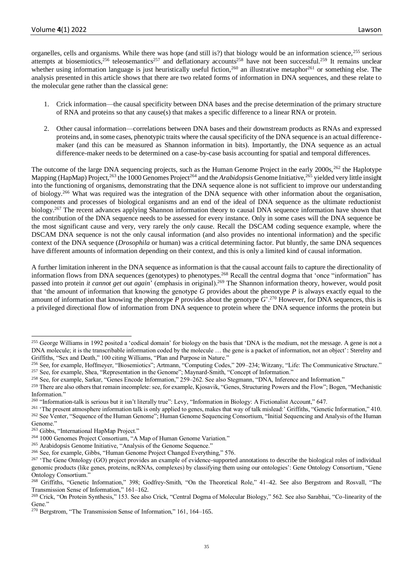organelles, cells and organisms. While there was hope (and still is?) that biology would be an information science,<sup>255</sup> serious attempts at biosemiotics,<sup>256</sup> teleosemantics<sup>257</sup> and deflationary accounts<sup>258</sup> have not been successful.<sup>259</sup> It remains unclear whether using information language is just heuristically useful fiction,<sup>260</sup> an illustrative metaphor<sup>261</sup> or something else. The analysis presented in this article shows that there are two related forms of information in DNA sequences, and these relate to the molecular gene rather than the classical gene:

- 1. Crick information—the causal specificity between DNA bases and the precise determination of the primary structure of RNA and proteins so that any cause(s) that makes a specific difference to a linear RNA or protein.
- 2. Other causal information—correlations between DNA bases and their downstream products as RNAs and expressed proteins and, in some cases, phenotypic traits where the causal specificity of the DNA sequence is an actual differencemaker (and this can be measured as Shannon information in bits). Importantly, the DNA sequence as an actual difference-maker needs to be determined on a case-by-case basis accounting for spatial and temporal differences.

The outcome of the large DNA sequencing projects, such as the Human Genome Project in the early  $2000s$ ,<sup>262</sup> the Haplotype Mapping (HapMap) Project,<sup>263</sup> the 1000 Genomes Project<sup>264</sup> and the *Arabidopsis* Genome Initiative,<sup>265</sup> yielded very little insight into the functioning of organisms, demonstrating that the DNA sequence alone is not sufficient to improve our understanding of biology.<sup>266</sup> What was required was the integration of the DNA sequence with other information about the organisation, components and processes of biological organisms and an end of the ideal of DNA sequence as the ultimate reductionist biology.<sup>267</sup> The recent advances applying Shannon information theory to causal DNA sequence information have shown that the contribution of the DNA sequence needs to be assessed for every instance. Only in some cases will the DNA sequence be the most significant cause and very, very rarely the *only* cause. Recall the DSCAM coding sequence example, where the DSCAM DNA sequence is not the only causal information (and also provides no intentional information) and the specific context of the DNA sequence (*Drosophila* or human) was a critical determining factor. Put bluntly, the same DNA sequences have different amounts of information depending on their context, and this is only a limited kind of causal information.

A further limitation inherent in the DNA sequence as information is that the causal account fails to capture the directionality of information flows from DNA sequences (genotypes) to phenotypes.<sup>268</sup> Recall the central dogma that 'once "information" has passed into protein *it cannot get out again*' (emphasis in original). <sup>269</sup> The Shannon information theory, however, would posit that 'the amount of information that knowing the genotype *G* provides about the phenotype *P* is always exactly equal to the amount of information that knowing the phenotype  $P$  provides about the genotype  $G^2$ .<sup>270</sup> However, for DNA sequences, this is a privileged directional flow of information from DNA sequence to protein where the DNA sequence informs the protein but

<sup>&</sup>lt;sup>255</sup> George Williams in 1992 posited a 'codical domain' for biology on the basis that 'DNA is the medium, not the message. A gene is not a DNA molecule; it is the transcribable information coded by the molecule … the gene is a packet of information, not an object': Sterelny and Griffiths, "Sex and Death," 100 citing Williams, "Plan and Purpose in Nature."

<sup>256</sup> See, for example, Hoffmeyer, "Biosemiotics"; Artmann, "Computing Codes," 209–234; Witzany, "Life: The Communicative Structure." <sup>257</sup> See, for example, Shea, "Representation in the Genome"; Maynard-Smith, "Concept of Information."

<sup>258</sup> See, for example, Sarkar, "Genes Encode Information," 259–262. See also Stegmann, "DNA, Inference and Information."

<sup>&</sup>lt;sup>259</sup> There are also others that remain incomplete: see, for example, Kjosavik, "Genes, Structuring Powers and the Flow"; Bogen, "Mechanistic Information."

<sup>260</sup> "Information-talk is serious but it isn't literally true": Levy, "Information in Biology: A Fictionalist Account," 647.

<sup>&</sup>lt;sup>261</sup> 'The present atmosphere information talk is only applied to genes, makes that way of talk mislead:' Griffiths, "Genetic Information," 410. <sup>262</sup> See Venter, "Sequence of the Human Genome"; Human Genome Sequencing Consortium, "Initial Sequencing and Analysis of the Human Genome."

<sup>&</sup>lt;sup>263</sup> Gibbs, "International HapMap Project."

<sup>264</sup> 1000 Genomes Project Consortium, "A Map of Human Genome Variation."

<sup>265</sup> Arabidopsis Genome Initiative, "Analysis of the Genome Sequence."

<sup>266</sup> See, for example, Gibbs, "Human Genome Project Changed Everything," 576.

<sup>&</sup>lt;sup>267</sup> 'The Gene Ontology (GO) project provides an example of evidence-supported annotations to describe the biological roles of individual genomic products (like genes, proteins, ncRNAs, complexes) by classifying them using our ontologies': Gene Ontology Consortium, "Gene Ontology Consortium."

<sup>268</sup> Griffiths, "Genetic Information," 398; Godfrey-Smith, "On the Theoretical Role," 41–42. See also Bergstrom and Rosvall, "The Transmission Sense of Information," 161–162.

<sup>&</sup>lt;sup>269</sup> Crick, "On Protein Synthesis," 153. See also Crick, "Central Dogma of Molecular Biology," 562. See also Sarabhai, "Co-linearity of the Gene."

<sup>270</sup> Bergstrom, "The Transmission Sense of Information," 161, 164–165.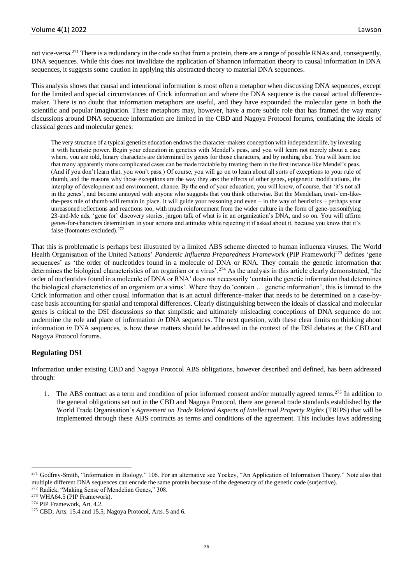not vice-versa.<sup>271</sup> There is a redundancy in the code so that from a protein, there are a range of possible RNAs and, consequently, DNA sequences. While this does not invalidate the application of Shannon information theory to causal information in DNA sequences, it suggests some caution in applying this abstracted theory to material DNA sequences.

This analysis shows that causal and intentional information is most often a metaphor when discussing DNA sequences, except for the limited and special circumstances of Crick information and where the DNA sequence is the causal actual differencemaker. There is no doubt that information metaphors are useful, and they have expounded the molecular gene in both the scientific and popular imagination. These metaphors may, however, have a more subtle role that has framed the way many discussions around DNA sequence information are limited in the CBD and Nagoya Protocol forums, conflating the ideals of classical genes and molecular genes:

The very structure of a typical genetics education endows the character-makers conception with independent life, by investing it with heuristic power. Begin your education in genetics with Mendel's peas, and you will learn not merely about a case where, you are told, binary characters are determined by genes for those characters, and by nothing else. You will learn too that many apparently more complicated cases can be made tractable by treating them in the first instance like Mendel's peas. (And if you don't learn that, you won't pass.) Of course, you will go on to learn about all sorts of exceptions to your rule of thumb, and the reasons why those exceptions are the way they are: the effects of other genes, epigenetic modifications, the interplay of development and environment, chance. By the end of your education, you will know, of course, that 'it's not all in the genes', and become annoyed with anyone who suggests that you think otherwise. But the Mendelian, treat-'em-likethe-peas rule of thumb will remain in place. It will guide your reasoning and even – in the way of heuristics – perhaps your unreasoned reflections and reactions too, with much reinforcement from the wider culture in the form of gene-personifying 23-and-Me ads, 'gene for' discovery stories, jargon talk of what is in an organization's DNA, and so on. You will affirm genes-for-characters determinism in your actions and attitudes while rejecting it if asked about it, because you know that it's false (footnotes excluded).<sup>272</sup>

That this is problematic is perhaps best illustrated by a limited ABS scheme directed to human influenza viruses. The World Health Organisation of the United Nations' *Pandemic Influenza Preparedness Framework* (PIP Framework)<sup>273</sup> defines 'gene sequences' as 'the order of nucleotides found in a molecule of DNA or RNA. They contain the genetic information that determines the biological characteristics of an organism or a virus'.<sup>274</sup> As the analysis in this article clearly demonstrated, 'the order of nucleotides found in a molecule of DNA or RNA' does not necessarily 'contain the genetic information that determines the biological characteristics of an organism or a virus'. Where they do 'contain … genetic information', this is limited to the Crick information and other causal information that is an actual difference-maker that needs to be determined on a case-bycase basis accounting for spatial and temporal differences. Clearly distinguishing between the ideals of classical and molecular genes is critical to the DSI discussions so that simplistic and ultimately misleading conceptions of DNA sequence do not undermine the role and place of information *in* DNA sequences. The next question, with these clear limits on thinking about information *in* DNA sequences, is how these matters should be addressed in the context of the DSI debates at the CBD and Nagoya Protocol forums.

# **Regulating DSI**

Information under existing CBD and Nagoya Protocol ABS obligations, however described and defined, has been addressed through:

1. The ABS contract as a term and condition of prior informed consent and/or mutually agreed terms.<sup>275</sup> In addition to the general obligations set out in the CBD and Nagoya Protocol, there are general trade standards established by the World Trade Organisation's *Agreement on Trade Related Aspects of Intellectual Property Rights* (TRIPS) that will be implemented through these ABS contracts as terms and conditions of the agreement. This includes laws addressing

<sup>&</sup>lt;sup>271</sup> Godfrey-Smith, "Information in Biology," 106. For an alternative see Yockey, "An Application of Information Theory." Note also that multiple different DNA sequences can encode the same protein because of the degeneracy of the genetic code (surjective).

<sup>&</sup>lt;sup>272</sup> Radick, "Making Sense of Mendelian Genes," 308.

<sup>273</sup> WHA64.5 (PIP Framework).

<sup>274</sup> PIP Framework, Art. 4.2.

<sup>275</sup> CBD, Arts. 15.4 and 15.5; Nagoya Protocol, Arts. 5 and 6.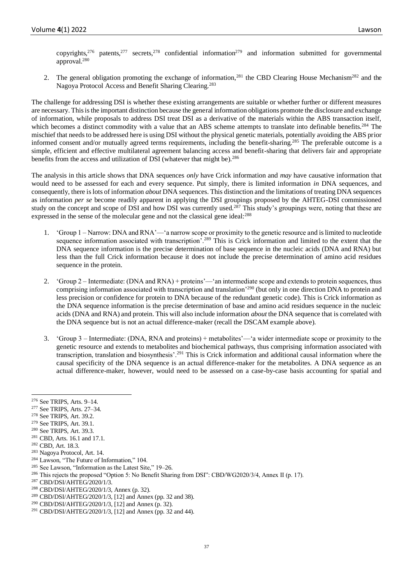copyrights,<sup>276</sup> patents,<sup>277</sup> secrets,<sup>278</sup> confidential information<sup>279</sup> and information submitted for governmental approval.<sup>280</sup>

2. The general obligation promoting the exchange of information,<sup>281</sup> the CBD Clearing House Mechanism<sup>282</sup> and the Nagoya Protocol Access and Benefit Sharing Clearing.<sup>283</sup>

The challenge for addressing DSI is whether these existing arrangements are suitable or whether further or different measures are necessary. This is the important distinction because the general information obligations promote the disclosure and exchange of information, while proposals to address DSI treat DSI as a derivative of the materials within the ABS transaction itself, which becomes a distinct commodity with a value that an ABS scheme attempts to translate into definable benefits.<sup>284</sup> The mischief that needs to be addressed here is using DSI without the physical genetic materials, potentially avoiding the ABS prior informed consent and/or mutually agreed terms requirements, including the benefit-sharing.<sup>285</sup> The preferable outcome is a simple, efficient and effective multilateral agreement balancing access and benefit-sharing that delivers fair and appropriate benefits from the access and utilization of DSI (whatever that might be).<sup>286</sup>

The analysis in this article shows that DNA sequences *only* have Crick information and *may* have causative information that would need to be assessed for each and every sequence. Put simply, there is limited information *in* DNA sequences, and consequently, there is lots of information *about* DNA sequences. This distinction and the limitations of treating DNA sequences as information *per se* become readily apparent in applying the DSI groupings proposed by the AHTEG-DSI commissioned study on the concept and scope of DSI and how DSI was currently used.<sup>287</sup> This study's groupings were, noting that these are expressed in the sense of the molecular gene and not the classical gene ideal:<sup>288</sup>

- 1. 'Group 1 Narrow: DNA and RNA'—'a narrow scope or proximity to the genetic resource and is limited to nucleotide sequence information associated with transcription<sup>'.289</sup> This is Crick information and limited to the extent that the DNA sequence information is the precise determination of base sequence in the nucleic acids (DNA and RNA) but less than the full Crick information because it does not include the precise determination of amino acid residues sequence in the protein.
- 2. 'Group 2 Intermediate: (DNA and RNA) + proteins'—'an intermediate scope and extends to protein sequences, thus comprising information associated with transcription and translation'<sup>290</sup> (but only in one direction DNA to protein and less precision or confidence for protein to DNA because of the redundant genetic code). This is Crick information as the DNA sequence information is the precise determination of base and amino acid residues sequence in the nucleic acids (DNA and RNA) and protein. This will also include information *about* the DNA sequence that is correlated with the DNA sequence but is not an actual difference-maker (recall the DSCAM example above).
- 3. 'Group 3 Intermediate: (DNA, RNA and proteins) + metabolites'—'a wider intermediate scope or proximity to the genetic resource and extends to metabolites and biochemical pathways, thus comprising information associated with transcription, translation and biosynthesis'.<sup>291</sup> This is Crick information and additional causal information where the causal specificity of the DNA sequence is an actual difference-maker for the metabolites. A DNA sequence as an actual difference-maker, however, would need to be assessed on a case-by-case basis accounting for spatial and

- <sup>278</sup> See TRIPS, Art. 39.2.
- <sup>279</sup> See TRIPS, Art. 39.1.
- <sup>280</sup> See TRIPS, Art. 39.3.
- <sup>281</sup> CBD, Arts. 16.1 and 17.1.
- <sup>282</sup> CBD, Art. 18.3.
- <sup>283</sup> Nagoya Protocol, Art. 14.

<sup>285</sup> See Lawson, "Information as the Latest Site," 19–26.

<sup>&</sup>lt;sup>276</sup> See TRIPS, Arts. 9–14.<br><sup>277</sup> See TRIPS, Arts. 27, 24

See TRIPS, Arts. 27-34.

<sup>284</sup> Lawson, "The Future of Information," 104.

<sup>286</sup> This rejects the proposed "Option 5: No Benefit Sharing from DSI": CBD/WG2020/3/4, Annex II (p. 17).

<sup>287</sup> CBD/DSI/AHTEG/2020/1/3.

<sup>288</sup> CBD/DSI/AHTEG/2020/1/3, Annex (p. 32).

<sup>289</sup> CBD/DSI/AHTEG/2020/1/3, [12] and Annex (pp. 32 and 38).

<sup>290</sup> CBD/DSI/AHTEG/2020/1/3, [12] and Annex (p. 32).

<sup>&</sup>lt;sup>291</sup> CBD/DSI/AHTEG/2020/1/3, [12] and Annex (pp. 32 and 44).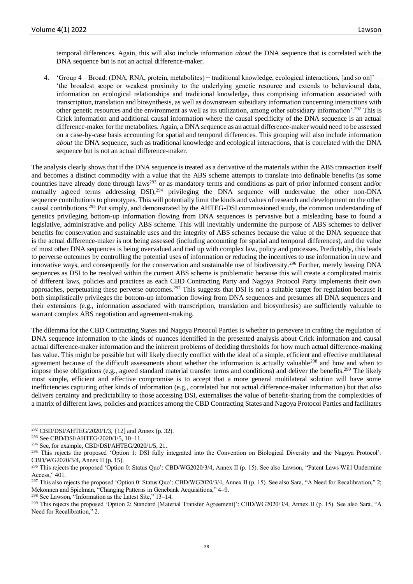temporal differences. Again, this will also include information *about* the DNA sequence that is correlated with the DNA sequence but is not an actual difference-maker.

4. 'Group 4 – Broad: (DNA, RNA, protein, metabolites) + traditional knowledge, ecological interactions, [and so on]'— 'the broadest scope or weakest proximity to the underlying genetic resource and extends to behavioural data, information on ecological relationships and traditional knowledge, thus comprising information associated with transcription, translation and biosynthesis, as well as downstream subsidiary information concerning interactions with other genetic resources and the environment as well as its utilization, among other subsidiary information'.<sup>292</sup> This is Crick information and additional causal information where the causal specificity of the DNA sequence is an actual difference-maker for the metabolites. Again, a DNA sequence as an actual difference-maker would need to be assessed on a case-by-case basis accounting for spatial and temporal differences. This grouping will also include information *about* the DNA sequence, such as traditional knowledge and ecological interactions, that is correlated with the DNA sequence but is not an actual difference-maker.

The analysis clearly shows that if the DNA sequence is treated as a derivative of the materials within the ABS transaction itself and becomes a distinct commodity with a value that the ABS scheme attempts to translate into definable benefits (as some countries have already done through laws<sup>293</sup> or as mandatory terms and conditions as part of prior informed consent and/or mutually agreed terms addressing DSI),<sup>294</sup> privileging the DNA sequence will undervalue the other non-DNA sequence contributions to phenotypes. This will potentially limit the kinds and values of research and development on the other causal contributions.<sup>295</sup> Put simply, and demonstrated by the AHTEG-DSI commissioned study, the common understanding of genetics privileging bottom-up information flowing from DNA sequences is pervasive but a misleading base to found a legislative, administrative and policy ABS scheme. This will inevitably undermine the purpose of ABS schemes to deliver benefits for conservation and sustainable uses and the integrity of ABS schemes because the value of the DNA sequence that is the actual difference-maker is not being assessed (including accounting for spatial and temporal differences), and the value of most other DNA sequences is being overvalued and tied up with complex law, policy and processes. Predictably, this leads to perverse outcomes by controlling the potential uses of information or reducing the incentives to use information in new and innovative ways, and consequently for the conservation and sustainable use of biodiversity.<sup>296</sup> Further, merely leaving DNA sequences as DSI to be resolved within the current ABS scheme is problematic because this will create a complicated matrix of different laws, policies and practices as each CBD Contracting Party and Nagoya Protocol Party implements their own approaches, perpetuating these perverse outcomes.<sup>297</sup> This suggests that DSI is not a suitable target for regulation because it both simplistically privileges the bottom-up information flowing from DNA sequences and presumes all DNA sequences and their extensions (e.g., information associated with transcription, translation and biosynthesis) are sufficiently valuable to warrant complex ABS negotiation and agreement-making.

The dilemma for the CBD Contracting States and Nagoya Protocol Parties is whether to persevere in crafting the regulation of DNA sequence information to the kinds of nuances identified in the presented analysis about Crick information and causal actual difference-maker information and the inherent problems of deciding thresholds for how much actual difference-making has value. This might be possible but will likely directly conflict with the ideal of a simple, efficient and effective multilateral agreement because of the difficult assessments about whether the information is actually valuable<sup>298</sup> and how and when to impose those obligations (e.g., agreed standard material transfer terms and conditions) and deliver the benefits.<sup>299</sup> The likely most simple, efficient and effective compromise is to accept that a more general multilateral solution will have some inefficiencies capturing other kinds of information (e.g., correlated but not actual difference-maker information) but that *also* delivers certainty and predictability to those accessing DSI, externalises the value of benefit-sharing from the complexities of a matrix of different laws, policies and practices among the CBD Contracting States and Nagoya Protocol Parties and facilitates

<sup>298</sup> See Lawson, "Information as the Latest Site," 13–14.

<sup>&</sup>lt;sup>292</sup> CBD/DSI/AHTEG/2020/1/3,  $\{12\}$  and Annex (p. 32).

<sup>293</sup> See CBD/DSI/AHTEG/2020/1/5, 10–11.

<sup>294</sup> See, for example, CBD/DSI/AHTEG/2020/1/5, 21.

<sup>&</sup>lt;sup>295</sup> This rejects the proposed 'Option 1: DSI fully integrated into the Convention on Biological Diversity and the Nagoya Protocol': CBD/WG2020/3/4, Annex II (p. 15).

<sup>&</sup>lt;sup>296</sup> This rejects the proposed 'Option 0: Status Quo': CBD/WG2020/3/4, Annex II (p. 15). See also Lawson, "Patent Laws Will Undermine Access," 401.

<sup>&</sup>lt;sup>297</sup> This also rejects the proposed 'Option 0: Status Quo': CBD/WG2020/3/4, Annex II (p. 15). See also Sara, "A Need for Recalibration," 2; Mekonnen and Spielman, "Changing Patterns in Genebank Acquisitions," 4–9.

<sup>&</sup>lt;sup>299</sup> This rejects the proposed 'Option 2: Standard [Material Transfer Agreement]': CBD/WG2020/3/4, Annex II (p. 15). See also Sara, "A Need for Recalibration," 2.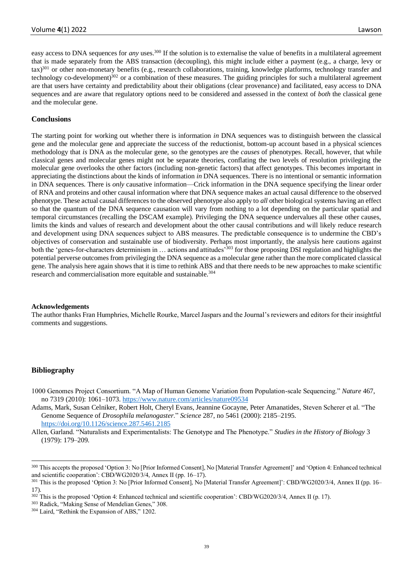easy access to DNA sequences for *any* uses.<sup>300</sup> If the solution is to externalise the value of benefits in a multilateral agreement that is made separately from the ABS transaction (decoupling), this might include either a payment (e.g., a charge, levy or  $\text{tax}$ )<sup>301</sup> or other non-monetary benefits (e.g., research collaborations, training, knowledge platforms, technology transfer and technology co-development)<sup>302</sup> or a combination of these measures. The guiding principles for such a multilateral agreement are that users have certainty and predictability about their obligations (clear provenance) and facilitated, easy access to DNA sequences and are aware that regulatory options need to be considered and assessed in the context of *both* the classical gene and the molecular gene.

## **Conclusions**

The starting point for working out whether there is information *in* DNA sequences was to distinguish between the classical gene and the molecular gene and appreciate the success of the reductionist, bottom-up account based in a physical sciences methodology that *is* DNA as the molecular gene, so the genotypes are the *causes* of phenotypes. Recall, however, that while classical genes and molecular genes might not be separate theories, conflating the two levels of resolution privileging the molecular gene overlooks the other factors (including non-genetic factors) that affect genotypes. This becomes important in appreciating the distinctions about the kinds of information *in* DNA sequences. There is no intentional or semantic information in DNA sequences. There is *only* causative information—Crick information in the DNA sequence specifying the linear order of RNA and proteins and other causal information where that DNA sequence makes an actual causal difference to the observed phenotype. These actual causal differences to the observed phenotype also apply to *all* other biological systems having an effect so that the quantum of the DNA sequence causation will vary from nothing to a lot depending on the particular spatial and temporal circumstances (recalling the DSCAM example). Privileging the DNA sequence undervalues all these other causes, limits the kinds and values of research and development about the other causal contributions and will likely reduce research and development using DNA sequences subject to ABS measures. The predictable consequence is to undermine the CBD's objectives of conservation and sustainable use of biodiversity. Perhaps most importantly, the analysis here cautions against both the 'genes-for-characters determinism in ... actions and attitudes<sup>303</sup> for those proposing DSI regulation and highlights the potential perverse outcomes from privileging the DNA sequence as a molecular gene rather than the more complicated classical gene. The analysis here again shows that it is time to rethink ABS and that there needs to be new approaches to make scientific research and commercialisation more equitable and sustainable.<sup>304</sup>

#### **Acknowledgements**

The author thanks Fran Humphries, Michelle Rourke, Marcel Jaspars and the Journal's reviewers and editors for their insightful comments and suggestions.

#### **Bibliography**

- 1000 Genomes Project Consortium. "A Map of Human Genome Variation from Population-scale Sequencing." *Nature* 467, no 7319 (2010): 1061–1073. <https://www.nature.com/articles/nature09534>
- Adams, Mark, Susan Celniker, Robert Holt, Cheryl Evans, Jeannine Gocayne, Peter Amanatides, Steven Scherer et al. "The Genome Sequence of *Drosophila melanogaster*." *Science* 287, no 5461 (2000): 2185–2195. <https://doi.org/10.1126/science.287.5461.2185>
- Allen, Garland. "Naturalists and Experimentalists: The Genotype and The Phenotype." *Studies in the History of Biology* 3 (1979): 179–209.

<sup>300</sup> This accepts the proposed 'Option 3: No [Prior Informed Consent], No [Material Transfer Agreement]' and 'Option 4: Enhanced technical and scientific cooperation': CBD/WG2020/3/4, Annex II (pp. 16–17).

<sup>&</sup>lt;sup>301</sup> This is the proposed 'Option 3: No [Prior Informed Consent], No [Material Transfer Agreement]': CBD/WG2020/3/4, Annex II (pp. 16– 17).

<sup>&</sup>lt;sup>302</sup> This is the proposed 'Option 4: Enhanced technical and scientific cooperation': CBD/WG2020/3/4, Annex II (p. 17).

<sup>303</sup> Radick, "Making Sense of Mendelian Genes," 308.

<sup>304</sup> Laird, "Rethink the Expansion of ABS," 1202.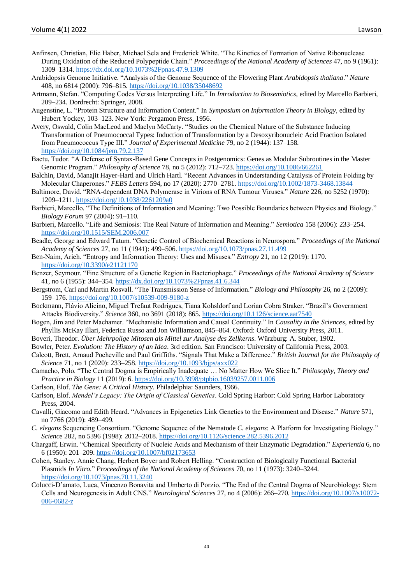- Anfinsen, Christian, Elie Haber, Michael Sela and Frederick White. "The Kinetics of Formation of Native Ribonuclease During Oxidation of the Reduced Polypeptide Chain." *Proceedings of the National Academy of Sciences* 47, no 9 (1961): 1309–1314. <https://dx.doi.org/10.1073%2Fpnas.47.9.1309>
- Arabidopsis Genome Initiative. "Analysis of the Genome Sequence of the Flowering Plant *Arabidopsis thaliana*." *Nature* 408, no 6814 (2000): 796–815. <https://doi.org/10.1038/35048692>
- Artmann, Stefan. "Computing Codes Versus Interpreting Life." In *Introduction to Biosemiotics*, edited by Marcello Barbieri, 209–234. Dordrecht: Springer, 2008.
- Augenstine, L. "Protein Structure and Information Content." In *Symposium on Information Theory in Biology*, edited by Hubert Yockey, 103–123. New York: Pergamon Press, 1956.
- Avery, Oswald, Colin MacLeod and Maclyn McCarty. "Studies on the Chemical Nature of the Substance Inducing Transformation of Pneumococcal Types: Induction of Transformation by a Desoxyribonucleic Acid Fraction Isolated from Pneumococcus Type III." *Journal of Experimental Medicine* 79, no 2 (1944): 137–158. <https://doi.org/10.1084/jem.79.2.137>
- Baetu, Tudor. "A Defense of Syntax-Based Gene Concepts in Postgenomics: Genes as Modular Subroutines in the Master Genomic Program." *Philosophy of Science* 78, no 5 (2012): 712–723. <https://doi.org/10.1086/662261>
- Balchin, David, Manajit Hayer-Hartl and Ulrich Hartl. "Recent Advances in Understanding Catalysis of Protein Folding by Molecular Chaperones." *FEBS Letters* 594, no 17 (2020): 2770–2781. <https://doi.org/10.1002/1873-3468.13844>
- Baltimore, David. "RNA-dependent DNA Polymerase in Virions of RNA Tumour Viruses." *Nature* 226, no 5252 (1970): 1209–1211. <https://doi.org/10.1038/2261209a0>
- Barbieri, Marcello. "The Definitions of Information and Meaning: Two Possible Boundaries between Physics and Biology." *Biology Forum* 97 (2004): 91–110.
- Barbieri, Marcello. "Life and Semiosis: The Real Nature of Information and Meaning." *Semiotica* 158 (2006): 233–254. <https://doi.org/10.1515/SEM.2006.007>
- Beadle, George and Edward Tatum. "Genetic Control of Biochemical Reactions in Neurospora." *Proceedings of the National Academy of Sciences* 27, no 11 (1941): 499–506. <https://doi.org/10.1073/pnas.27.11.499>
- Ben-Naim, Arieh. "Entropy and Information Theory: Uses and Misuses." *Entropy* 21, no 12 (2019): 1170. <https://doi.org/10.3390/e21121170>
- Benzer, Seymour. "Fine Structure of a Genetic Region in Bacteriophage." *Proceedings of the National Academy of Science*  41, no 6 (1955): 344–354. <https://dx.doi.org/10.1073%2Fpnas.41.6.344>
- Bergstrom, Carl and Martin Rosvall. "The Transmission Sense of Information." *Biology and Philosophy* 26, no 2 (2009): 159–176. <https://doi.org/10.1007/s10539-009-9180-z>
- Bockmann, Flávio Alicino, Miguel Trefaut Rodrigues, Tiana Kohsldorf and Lorian Cobra Straker. "Brazil's Government Attacks Biodiversity." *Science* 360, no 3691 (2018): 865. <https://doi.org/10.1126/science.aat7540>
- Bogen, Jim and Peter Machamer. "Mechanistic Information and Causal Continuity." In *Causality in the Sciences*, edited by Phyllis McKay Illari, Federica Russo and Jon Williamson, 845–864. Oxford: Oxford University Press, 2011.
- Boveri, Theodor. *Über Mehrpolige Mitosen als Mittel zur Analyse des Zellkerns*. Würzburg: A. Stuber, 1902.
- Bowler, Peter. *Evolution: The History of an Idea*. 3rd edition. San Francisco: University of California Press, 2003.
- Calcott, Brett, Arnaud Pocheville and Paul Griffiths. "Signals That Make a Difference." *British Journal for the Philosophy of Science* 71, no 1 (2020): 233–258. <https://doi.org/10.1093/bjps/axx022>
- Camacho, Polo. "The Central Dogma is Empirically Inadequate … No Matter How We Slice It." *Philosophy, Theory and Practice in Biology* 11 (2019): 6. <https://doi.org/10.3998/ptpbio.16039257.0011.006>
- Carlson, Elof. *The Gene: A Critical History*. Philadelphia: Saunders, 1966.
- Carlson, Elof. *Mendel's Legacy: The Origin of Classical Genetics*. Cold Spring Harbor: Cold Spring Harbor Laboratory Press, 2004.
- Cavalli, Giacomo and Edith Heard. "Advances in Epigenetics Link Genetics to the Environment and Disease." *Nature* 571, no 7766 (2019): 489–499.
- *C. elegans* Sequencing Consortium. "Genome Sequence of the Nematode *C. elegans*: A Platform for Investigating Biology." *Science* 282, no 5396 (1998): 2012–2018. <https://doi.org/10.1126/science.282.5396.2012>
- Chargaff, Erwin. "Chemical Specificity of Nucleic Acids and Mechanism of their Enzymatic Degradation." *Experientia* 6, no 6 (1950): 201–209. <https://doi.org/10.1007/bf02173653>
- Cohen, Stanley, Annie Chang, Herbert Boyer and Robert Helling. "Construction of Biologically Functional Bacterial Plasmids *In Vitro*." *Proceedings of the National Academy of Sciences* 70, no 11 (1973): 3240–3244. <https://doi.org/10.1073/pnas.70.11.3240>
- Colucci-D'amato, Luca, Vincenzo Bonavita and Umberto di Porzio. "The End of the Central Dogma of Neurobiology: Stem Cells and Neurogenesis in Adult CNS." *Neurological Sciences* 27, no 4 (2006): 266–270. [https://doi.org/10.1007/s10072-](https://doi.org/10.1007/s10072-006-0682-z) [006-0682-z](https://doi.org/10.1007/s10072-006-0682-z)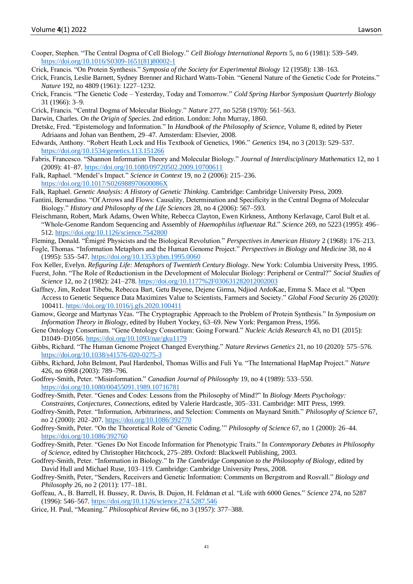Cooper, Stephen. "The Central Dogma of Cell Biology." *Cell Biology International Reports* 5, no 6 (1981): 539–549. [https://doi.org/10.1016/S0309-1651\(81\)80002-1](https://doi.org/10.1016/S0309-1651(81)80002-1)

Crick, Francis. "On Protein Synthesis." *Symposia of the Society for Experimental Biology* 12 (1958): 138–163.

- Crick, Francis, Leslie Barnett, Sydney Brenner and Richard Watts-Tobin. "General Nature of the Genetic Code for Proteins." *Nature* 192, no 4809 (1961): 1227–1232.
- Crick, Francis. "The Genetic Code Yesterday, Today and Tomorrow." *Cold Spring Harbor Symposium Quarterly Biology* 31 (1966): 3–9.
- Crick, Francis. "Central Dogma of Molecular Biology." *Nature* 277, no 5258 (1970): 561–563.
- Darwin, Charles. *On the Origin of Species*. 2nd edition. London: John Murray, 1860.
- Dretske, Fred. "Epistemology and Information." In *Handbook of the Philosophy of Science*, Volume 8, edited by Pieter Adriaans and Johan van Benthem, 29–47. Amsterdam: Elsevier, 2008.
- Edwards, Anthony. "Robert Heath Lock and His Textbook of Genetics, 1906." *Genetics* 194, no 3 (2013): 529–537. <https://doi.org/10.1534/genetics.113.151266>
- Fabris, Francesco. "Shannon Information Theory and Molecular Biology." *Journal of Interdisciplinary Mathematics* 12, no 1 (2009): 41–87. <https://doi.org/10.1080/09720502.2009.10700611>
- Falk, Raphael. "Mendel's Impact." *Science in Context* 19, no 2 (2006): 215–236. <https://doi.org/10.1017/S026988970600086X>
- Falk, Raphael. *Genetic Analysis: A History of Genetic Thinking*. Cambridge: Cambridge University Press, 2009.
- Fantini, Bernardino. "Of Arrows and Flows: Causality, Determination and Specificity in the Central Dogma of Molecular Biology." *History and Philosophy of the Life Sciences* 28, no 4 (2006): 567–593.
- Fleischmann, Robert, Mark Adams, Owen White, Rebecca Clayton, Ewen Kirkness, Anthony Kerlavage, Carol Bult et al. "Whole-Genome Random Sequencing and Assembly of *Haemophilus influenzae* Rd." *Science* 269, no 5223 (1995): 496– 512. <https://doi.org/10.1126/science.7542800>
- Fleming, Donald. "Émigré Physicists and the Biological Revolution." *Perspectives in American History* 2 (1968): 176–213.
- Fogle, Thomas. "Information Metaphors and the Human Genome Project." *Perspectives in Biology and Medicine* 38, no 4 (1995): 535–547. <https://doi.org/10.1353/pbm.1995.0060>
- Fox Keller, Evelyn. *Refiguring Life: Metaphors of Twentieth Century Biology*. New York: Columbia University Press, 1995.
- Fuerst, John. "The Role of Reductionism in the Development of Molecular Biology: Peripheral or Central?" *Social Studies of Science* 12, no 2 (1982): 241–278. <https://doi.org/10.1177%2F030631282012002003>
- Gaffney, Jim, Redeat Tibebu, Rebecca Bart, Getu Beyene, Dejene Girma, Ndjiod ArdoKae, Emma S. Mace et al. "Open Access to Genetic Sequence Data Maximizes Value to Scientists, Farmers and Society." *Global Food Security* 26 (2020): 100411. <https://doi.org/10.1016/j.gfs.2020.100411>
- Gamow, George and Martynas Yčas. "The Cryptographic Approach to the Problem of Protein Synthesis." In *Symposium on Information Theory in Biology*, edited by Hubert Yockey, 63–69. New York: Pergamon Press, 1956.
- Gene Ontology Consortium. "Gene Ontology Consortium: Going Forward." *Nucleic Acids Research* 43, no D1 (2015): D1049–D1056. <https://doi.org/10.1093/nar/gku1179>
- Gibbs, Richard. "The Human Genome Project Changed Everything." *Nature Reviews Genetics* 21, no 10 (2020): 575–576. <https://doi.org/10.1038/s41576-020-0275-3>
- Gibbs, Richard, John Belmont, Paul Hardenbol, Thomas Willis and Fuli Yu. "The International HapMap Project." *Nature* 426, no 6968 (2003): 789–796.
- Godfrey-Smith, Peter. "Misinformation." *Canadian Journal of Philosophy* 19, no 4 (1989): 533–550. <https://doi.org/10.1080/00455091.1989.10716781>
- Godfrey-Smith, Peter. "Genes and Codes: Lessons from the Philosophy of Mind?" In *Biology Meets Psychology: Constraints, Conjectures, Connections*, edited by Valerie Hardcastle, 305–331. Cambridge: MIT Press, 1999.
- Godfrey-Smith, Peter. "Information, Arbitrariness, and Selection: Comments on Maynard Smith." *Philosophy of Science* 67, no 2 (2000): 202–207. <https://doi.org/10.1086/392770>
- Godfrey-Smith, Peter. "On the Theoretical Role of 'Genetic Coding.'" *Philosophy of Science* 67, no 1 (2000): 26–44. <https://doi.org/10.1086/392760>
- Godfrey-Smith, Peter. "Genes Do Not Encode Information for Phenotypic Traits." In *Contemporary Debates in Philosophy of Science,* edited by Christopher Hitchcock, 275–289. Oxford: Blackwell Publishing, 2003.
- Godfrey-Smith, Peter. "Information in Biology." In *The Cambridge Companion to the Philosophy of Biology*, edited by David Hull and Michael Ruse, 103–119. Cambridge: Cambridge University Press, 2008.
- Godfrey-Smith, Peter, "Senders, Receivers and Genetic Information: Comments on Bergstrom and Rosvall." *Biology and Philosophy* 26, no 2 (2011): 177–181.
- Goffeau, A., B. Barrell, H. Bussey, R. Davis, B. Dujon, H. Feldman et al. "Life with 6000 Genes." *Science* 274, no 5287 (1996): 546–567. <https://doi.org/10.1126/science.274.5287.546>
- Grice, H. Paul, "Meaning." *Philosophical Review* 66, no 3 (1957): 377–388.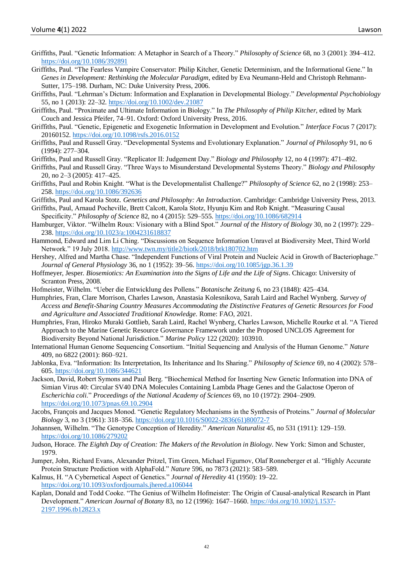- Griffiths, Paul. "Genetic Information: A Metaphor in Search of a Theory." *Philosophy of Science* 68, no 3 (2001): 394–412. <https://doi.org/10.1086/392891>
- Griffiths, Paul. "The Fearless Vampire Conservator: Philip Kitcher, Genetic Determinism, and the Informational Gene." In *Genes in Development: Rethinking the Molecular Paradigm*, edited by Eva Neumann-Held and Christoph Rehmann-Sutter, 175–198. Durham, NC: Duke University Press, 2006.
- Griffiths, Paul. "Lehrman's Dictum: Information and Explanation in Developmental Biology." *Developmental Psychobiology* 55, no 1 (2013): 22–32. <https://doi.org/10.1002/dev.21087>
- Griffiths, Paul. "Proximate and Ultimate Information in Biology." In *The Philosophy of Philip Kitcher*, edited by Mark Couch and Jessica Pfeifer, 74–91. Oxford: Oxford University Press, 2016.
- Griffiths, Paul. "Genetic, Epigenetic and Exogenetic Information in Development and Evolution." *Interface Focus* 7 (2017): 20160152. <https://doi.org/10.1098/rsfs.2016.0152>
- Griffiths, Paul and Russell Gray. "Developmental Systems and Evolutionary Explanation." *Journal of Philosophy* 91, no 6 (1994): 277–304.
- Griffiths, Paul and Russell Gray. "Replicator II: Judgement Day." *Biology and Philosophy* 12, no 4 (1997): 471–492.
- Griffiths, Paul and Russell Gray. "Three Ways to Misunderstand Developmental Systems Theory." *Biology and Philosophy* 20, no 2–3 (2005): 417–425.
- Griffiths, Paul and Robin Knight. "What is the Developmentalist Challenge?" *Philosophy of Science* 62, no 2 (1998): 253– 258. <https://doi.org/10.1086/392636>
- Griffiths, Paul and Karola Stotz. *Genetics and Philosophy: An Introduction*. Cambridge: Cambridge University Press, 2013.
- Griffiths, Paul, Arnaud Pocheville, Brett Calcott, Karola Stotz, Hyunju Kim and Rob Knight. "Measuring Causal Specificity." *Philosophy of Science* 82, no 4 (2015): 529–555. <https://doi.org/10.1086/682914>
- Hamburger, Viktor. "Wilhelm Roux: Visionary with a Blind Spot." *Journal of the History of Biology* 30, no 2 (1997): 229– 238. <https://doi.org/10.1023/a:1004231618837>
- Hammond, Edward and Lim Li Ching. "Discussions on Sequence Information Unravel at Biodiversity Meet, Third World Network." 19 July 2018[. http://www.twn.my/title2/biotk/2018/btk180702.htm](http://www.twn.my/title2/biotk/2018/btk180702.htm)
- Hershey, Alfred and Martha Chase. "Independent Functions of Viral Protein and Nucleic Acid in Growth of Bacteriophage." *Journal of General Physiology* 36, no 1 (1952): 39–56. <https://doi.org/10.1085/jgp.36.1.39>
- Hoffmeyer, Jesper. *Biosemiotics: An Examination into the Signs of Life and the Life of Signs*. Chicago: University of Scranton Press, 2008.
- Hofmeister, Wilhelm. "Ueber die Entwicklung des Pollens." *Botanische Zeitung* 6, no 23 (1848): 425–434.
- Humphries, Fran, Clare Morrison, Charles Lawson, Anastasia Kolesnikova, Sarah Laird and Rachel Wynberg. *Survey of Access and Benefit-Sharing Country Measures Accommodating the Distinctive Features of Genetic Resources for Food and Agriculture and Associated Traditional Knowledge*. Rome: FAO, 2021.
- Humphries, Fran, Hiroko Muraki Gottlieb, Sarah Laird*,* Rachel Wynberg, Charles Lawson, Michelle Rourke et al. "A Tiered Approach to the Marine Genetic Resource Governance Framework under the Proposed UNCLOS Agreement for Biodiversity Beyond National Jurisdiction." *Marine Policy* 122 (2020): 103910.
- International Human Genome Sequencing Consortium. "Initial Sequencing and Analysis of the Human Genome." *Nature* 409, no 6822 (2001): 860–921.
- Jablonka, Eva. "Information: Its Interpretation, Its Inheritance and Its Sharing." *Philosophy of Science* 69, no 4 (2002): 578– 605. <https://doi.org/10.1086/344621>
- Jackson, David, Robert Symons and Paul Berg. "Biochemical Method for Inserting New Genetic Information into DNA of Simian Virus 40: Circular SV40 DNA Molecules Containing Lambda Phage Genes and the Galactose Operon of *Escherichia coli*." *Proceedings of the National Academy of Sciences* 69, no 10 (1972): 2904–2909. <https://doi.org/10.1073/pnas.69.10.2904>
- Jacobs, François and Jacques Monod. "Genetic Regulatory Mechanisms in the Synthesis of Proteins." *Journal of Molecular Biology* 3, no 3 (1961): 318–356. [https://doi.org/10.1016/S0022-2836\(61\)80072-7](https://doi.org/10.1016/S0022-2836(61)80072-7)
- Johannsen, Wilhelm. "The Genotype Conception of Heredity." *American Naturalist* 45, no 531 (1911): 129–159. <https://doi.org/10.1086/279202>
- Judson, Horace. *The Eighth Day of Creation: The Makers of the Revolution in Biology*. New York: Simon and Schuster, 1979.
- Jumper, John, Richard Evans, Alexander Pritzel, Tim Green, Michael Figurnov, Olaf Ronneberger et al. "Highly Accurate Protein Structure Prediction with AlphaFold." *Nature* 596, no 7873 (2021): 583–589.
- Kalmus, H. "A Cybernetical Aspect of Genetics." *Journal of Heredity* 41 (1950): 19–22. <https://doi.org/10.1093/oxfordjournals.jhered.a106044>
- Kaplan, Donald and Todd Cooke. "The Genius of Wilhelm Hofmeister: The Origin of Causal-analytical Research in Plant Development." *American Journal of Botany* 83, no 12 (1996): 1647–1660. [https://doi.org/10.1002/j.1537-](https://doi.org/10.1002/j.1537-2197.1996.tb12823.x) [2197.1996.tb12823.x](https://doi.org/10.1002/j.1537-2197.1996.tb12823.x)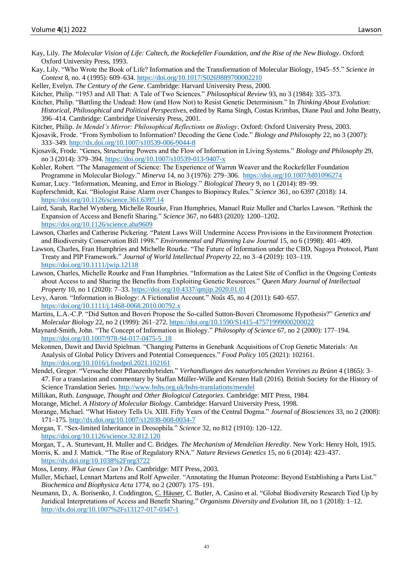- Kay, Lily. *The Molecular Vision of Life: Caltech, the Rockefeller Foundation, and the Rise of the New Biology*. Oxford: Oxford University Press, 1993.
- Kay, Lily. "Who Wrote the Book of Life? Information and the Transformation of Molecular Biology, 1945–55." *Science in Context* 8, no. 4 (1995): 609–634. <https://doi.org/10.1017/S0269889700002210>
- Keller, Evelyn. *The Century of the Gene*. Cambridge: Harvard University Press, 2000.

Kitcher, Philip. "1953 and All That: A Tale of Two Sciences." *Philosophical Review* 93, no 3 (1984): 335–373.

- Kitcher, Philip. "Battling the Undead: How (and How Not) to Resist Genetic Determinism." In *Thinking About Evolution: Historical, Philosophical and Political Perspectives*, edited by Rama Singh, Costas Krimbas, Diane Paul and John Beatty, 396–414. Cambridge: Cambridge University Press, 2001.
- Kitcher, Philip. *In Mendel's Mirror: Philosophical Reflections on Biology*. Oxford: Oxford University Press, 2003.
- Kjosavik, Frode. "From Symbolism to Information? Decoding the Gene Code." *Biology and Philosophy* 22, no 3 (2007): 333–349. <http://dx.doi.org/10.1007/s10539-006-9044-8>
- Kjosavik, Frode. "Genes, Structuring Powers and the Flow of Information in Living Systems." *Biology and Philosophy* 29, no 3 (2014): 379–394. <https://doi.org/10.1007/s10539-013-9407-x>
- Kohler, Robert. "The Management of Science: The Experience of Warren Weaver and the Rockefeller Foundation Programme in Molecular Biology." *Minerva* 14, no 3 (1976): 279–306. <https://doi.org/10.1007/bf01096274>
- Kumar, Lucy. "Information, Meaning, and Error in Biology." *Biological Theory* 9, no 1 (2014): 89–99.
- Kupferschmidt, Kai. "Biologist Raise Alarm over Changes to Biopiracy Rules." *Science* 361, no 6397 (2018): 14. <https://doi.org/10.1126/science.361.6397.14>
- Laird, Sarah, Rachel Wynberg, Michelle Rourke, Fran Humphries, Manuel Ruiz Muller and Charles Lawson. "Rethink the Expansion of Access and Benefit Sharing." *Science* 367, no 6483 (2020): 1200–1202. <https://doi.org/10.1126/science.aba9609>
- Lawson, Charles and Catherine Pickering. "Patent Laws Will Undermine Access Provisions in the Environment Protection and Biodiversity Conservation Bill 1998." *Environmental and Planning Law Journal* 15, no 6 (1998): 401–409.
- Lawson, Charles, Fran Humphries and Michelle Rourke. "The Future of Information under the CBD, Nagoya Protocol, Plant Treaty and PIP Framework." *Journal of World Intellectual Property* 22, no 3–4 (2019): 103–119. <https://doi.org/10.1111/jwip.12118>
- Lawson, Charles, Michelle Rourke and Fran Humphries. "Information as the Latest Site of Conflict in the Ongoing Contests about Access to and Sharing the Benefits from Exploiting Genetic Resources." *Queen Mary Journal of Intellectual Property* 10, no 1 (2020): 7–33. <https://doi.org/10.4337/qmjip.2020.01.01>
- Levy, Aaron. "Information in Biology: A Fictionalist Account." *Noûs* 45, no 4 (2011): 640–657. <https://doi.org/10.1111/j.1468-0068.2010.00792.x>
- Martins, L.A.-C.P. "Did Sutton and Boveri Propose the So-called Sutton-Boveri Chromosome Hypothesis?" *Genetics and Molecular Biology* 22, no 2 (1999): 261–272. <https://doi.org/10.1590/S1415-47571999000200022>
- Maynard-Smith, John. "The Concept of Information in Biology." *Philosophy of Science* 67, no 2 (2000): 177–194. [https://doi.org/10.1007/978-94-017-0475-5\\_18](https://doi.org/10.1007/978-94-017-0475-5_18)
- Mekonnen, Dawit and David Spielman. "Changing Patterns in Genebank Acquisitions of Crop Genetic Materials: An Analysis of Global Policy Drivers and Potential Consequences." *Food Policy* 105 (2021): 102161. <https://doi.org/10.1016/j.foodpol.2021.102161>
- Mendel, Gregor. "Versuche über Pflanzenhybriden." *Verhandlungen des naturforschenden Vereines zu Brünn* 4 (1865): 3– 47. For a translation and commentary by Staffan Müller-Wille and Kersten Hall (2016). British Society for the History of Science Translation Series[. http://www.bshs.org.uk/bshs-translations/mendel](http://www.bshs.org.uk/bshs-translations/mendel)
- Millikan, Ruth. *Language, Thought and Other Biological Categories*. Cambridge: MIT Press, 1984.
- Morange, Michel. *A History of Molecular Biology*. Cambridge: Harvard University Press, 1998.
- Morange, Michael. "What History Tells Us. XIII. Fifty Years of the Central Dogma." *Journal of Biosciences* 33, no 2 (2008): 171–175. <http://dx.doi.org/10.1007/s12038-008-0034-7>
- Morgan, T. "Sex-limited Inheritance in Drosophila." *Science* 32, no 812 (1910): 120–122. <https://doi.org/10.1126/science.32.812.120>
- Morgan, T., A. Sturtevant, H. Muller and C. Bridges. *The Mechanism of Mendelian Heredity*. New York: Henry Holt, 1915.
- Morris, K. and J. Mattick. "The Rise of Regulatory RNA." *Nature Reviews Genetics* 15, no 6 (2014): 423–437. <https://dx.doi.org/10.1038%2Fnrg3722>
- Moss, Lenny. *What Genes Can't Do*. Cambridge: MIT Press, 2003.
- Muller, Michael, Lennart Martens and Rolf Apweiler. "Annotating the Human Proteome: Beyond Establishing a Parts List." *Biochemica and Biophysica Acta* 1774, no 2 (2007): 175–191.
- Neumann, D., A. Borisenko, J. Coddington, C. Häuser, C. Butler, A. Casino et al. "Global Biodiversity Research Tied Up by Juridical Interpretations of Access and Benefit Sharing." *Organisms Diversity and Evolution* 18, no 1 (2018): 1–12. <http://dx.doi.org/10.1007%2Fs13127-017-0347-1>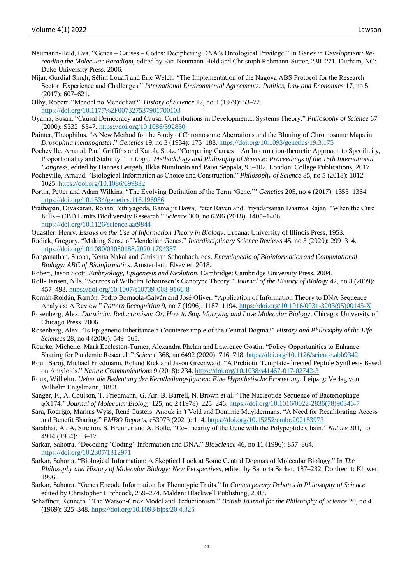- Neumann-Held, Eva. "Genes Causes Codes: Deciphering DNA's Ontological Privilege." In *Genes in Development: Rereading the Molecular Paradigm,* edited by Eva Neumann-Held and Christoph Rehmann-Sutter, 238–271. Durham, NC: Duke University Press, 2006.
- Nijar, Gurdial Singh, Sélim Louafi and Eric Welch. "The Implementation of the Nagoya ABS Protocol for the Research Sector: Experience and Challenges." *International Environmental Agreements: Politics, Law and Economics* 17, no 5 (2017): 607–621.
- Olby, Robert. "Mendel no Mendelian?" *History of Science* 17, no 1 (1979): 53–72. <https://doi.org/10.1177%2F007327537901700103>
- Oyama, Susan. "Causal Democracy and Causal Contributions in Developmental Systems Theory." *Philosophy of Science* 67 (2000): S332–S347. <https://doi.org/10.1086/392830>
- Painter, Theophilus. "A New Method for the Study of Chromosome Aberrations and the Blotting of Chromosome Maps in *Drosophila melanogaster*." *Genetics* 19, no 3 (1934): 175–188. <https://doi.org/10.1093/genetics/19.3.175>
- Pocheville, Arnaud, Paul Griffiths and Karola Stotz. "Comparing Causes An Information-theoretic Approach to Specificity, Proportionality and Stability." In *Logic, Methodology and Philosophy of Science: Proceedings of the 15th International Congress,* edited by Hannes Leitgeb, Ilkka Niiniluoto and Paivi Seppala, 93–102. London: College Publications, 2017.
- Pocheville, Arnaud. "Biological Information as Choice and Construction." *Philosophy of Science* 85, no 5 (2018): 1012– 1025. <https://doi.org/10.1086/699832>
- Portin, Petter and Adam Wilkins. "The Evolving Definition of the Term 'Gene.'" *Genetics* 205, no 4 (2017): 1353–1364. <https://doi.org/10.1534/genetics.116.196956>
- Prathapan, Divakaran, Rohan Pethiyagoda, Kamaljit Bawa, Peter Raven and Priyadarsanan Dharma Rajan. "When the Cure Kills – CBD Limits Biodiversity Research." *Science* 360, no 6396 (2018): 1405–1406. <https://doi.org/10.1126/science.aat9844>
- Quastler, Henry. *Essays on the Use of Information Theory in Biology*. Urbana: University of Illinois Press, 1953.
- Radick, Gregory. "Making Sense of Mendelian Genes." *Interdisciplinary Science Reviews* 45, no 3 (2020): 299–314. <https://doi.org/10.1080/03080188.2020.1794387>
- Ranganathan, Shoba, Kenta Nakai and Christian Schonbach, eds. *Encyclopedia of Bioinformatics and Computational Biology: ABC of Bioinformatics*. Amsterdam: Elsevier, 2018.
- Robert, Jason Scott. *Embryology, Epigenesis and Evolution*. Cambridge: Cambridge University Press, 2004.
- Roll-Hansen, Nils. "Sources of Wilhelm Johannsen's Genotype Theory." *Journal of the History of Biology* 42, no 3 (2009): 457–493. <https://doi.org/10.1007/s10739-008-9166-8>
- Román-Roldán, Ramón, Pedro Bernaola-Galván and José Oliver. "Application of Information Theory to DNA Sequence Analysis: A Review." *Pattern Recognition* 9, no 7 (1996): 1187–1194. [https://doi.org/10.1016/0031-3203\(95\)00145-X](https://doi.org/10.1016/0031-3203(95)00145-X)
- Rosenberg, Alex. *Darwinian Reductionism: Or, How to Stop Worrying and Love Molecular Biology*. Chicago: University of Chicago Press, 2006.
- Rosenberg, Alex. "Is Epigenetic Inheritance a Counterexample of the Central Dogma?" *History and Philosophy of the Life Sciences* 28, no 4 (2006): 549–565.
- Rourke, Michelle, Mark Eccleston-Turner, Alexandra Phelan and Lawrence Gostin. "Policy Opportunities to Enhance Sharing for Pandemic Research." *Science* 368, no 6492 (2020): 716–718. <https://doi.org/10.1126/science.abb9342>
- Rout, Saroj, Michael Friedmann, Roland Riek and Jason Greenwald. "A Prebiotic Template-directed Peptide Synthesis Based on Amyloids." *Nature Communications* 9 (2018): 234. <https://doi.org/10.1038/s41467-017-02742-3>
- Roux, Wilhelm. *Ueber die Bedeutung der Kerntheilungsfiguren: Eine Hypothetische Erorterung*. Leipzig: Verlag von Wilhelm Engelmann, 1883.
- Sanger, F., A. Coulson, T. Friedmann, G. Air, B. Barrell, N. Brown et al. "The Nucleotide Sequence of Bacteriophage φX174." *Journal of Molecular Biology* 125, no 2 (1978): 225–246. [https://doi.org/10.1016/0022-2836\(78\)90346-7](https://doi.org/10.1016/0022-2836(78)90346-7)
- Sara, Rodrigo, Markus Wyss, René Custers*,* Anouk in 't Veld and Dominic Muyldermans. "A Need for Recalibrating Access and Benefit Sharing." *EMBO Reports*, e53973 (2021): 1–4. <https://doi.org/10.15252/embr.202153973>
- Sarabhai, A., A. Stretton, S. Brenner and A. Bolle. "Co-linearity of the Gene with the Polypeptide Chain." *Nature* 201, no 4914 (1964): 13–17.
- Sarkar, Sahotra. "Decoding 'Coding'-Information and DNA." *BioScience* 46, no 11 (1996): 857–864. <https://doi.org/10.2307/1312971>
- Sarkar, Sahorta. "Biological Information: A Skeptical Look at Some Central Dogmas of Molecular Biology." In *The Philosophy and History of Molecular Biology: New Perspectives*, edited by Sahorta Sarkar, 187–232. Dordrecht: Kluwer, 1996.
- Sarkar, Sahotra. "Genes Encode Information for Phenotypic Traits." In *Contemporary Debates in Philosophy of Science,*  edited by Christopher Hitchcock, 259–274. Malden: Blackwell Publishing, 2003.
- Schaffner, Kenneth. "The Watson-Crick Model and Reductionism." *British Journal for the Philosophy of Science* 20, no 4 (1969): 325–348. <https://doi.org/10.1093/bjps/20.4.325>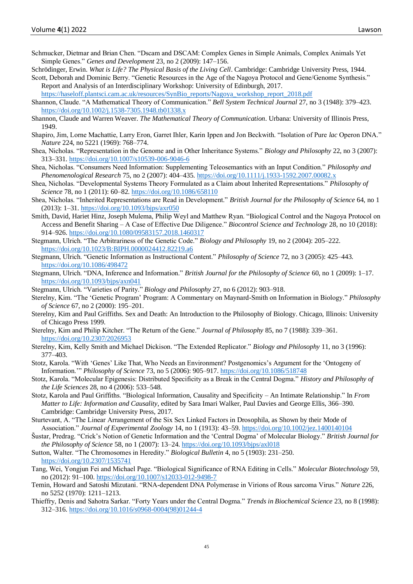- Schmucker, Dietmar and Brian Chen. "Dscam and DSCAM: Complex Genes in Simple Animals, Complex Animals Yet Simple Genes." *Genes and Development* 23, no 2 (2009): 147–156.
- Schrödinger, Erwin. *What is Life? The Physical Basis of the Living Cell*. Cambridge: Cambridge University Press, 1944. Scott, Deborah and Dominic Berry. "Genetic Resources in the Age of the Nagoya Protocol and Gene/Genome Synthesis."

Report and Analysis of an Interdisciplinary Workshop: University of Edinburgh, 2017. [https://haseloff.plantsci.cam.ac.uk/resources/SynBio\\_reports/Nagoya\\_workshop\\_report\\_2018.pdf](https://haseloff.plantsci.cam.ac.uk/resources/SynBio_reports/Nagoya_workshop_report_2018.pdf)

- Shannon, Claude. "A Mathematical Theory of Communication." *Bell System Technical Journal* 27, no 3 (1948): 379–423. <https://doi.org/10.1002/j.1538-7305.1948.tb01338.x>
- Shannon, Claude and Warren Weaver. *The Mathematical Theory of Communication*. Urbana: University of Illinois Press, 1949.
- Shapiro, Jim, Lorne Machattie, Larry Eron, Garret Ihler, Karin Ippen and Jon Beckwith. "Isolation of Pure *lac* Operon DNA." *Nature* 224, no 5221 (1969): 768–774.
- Shea, Nicholas. "Representation in the Genome and in Other Inheritance Systems." *Biology and Philosophy* 22, no 3 (2007): 313–331. <https://doi.org/10.1007/s10539-006-9046-6>
- Shea, Nicholas. "Consumers Need Information: Supplementing Teleosemantics with an Input Condition." *Philosophy and Phenomenological Research* 75, no 2 (2007): 404–435. <https://doi.org/10.1111/j.1933-1592.2007.00082.x>
- Shea, Nicholas. "Developmental Systems Theory Formulated as a Claim about Inherited Representations." *Philosophy of Science* 78, no 1 (2011): 60–82. <https://doi.org/10.1086/658110>
- Shea, Nicholas. "Inherited Representations are Read in Development." *British Journal for the Philosophy of Science* 64, no 1 (2013): 1–31. <https://doi.org/10.1093/bjps/axr050>
- Smith, David, Hariet Hinz, Joseph Mulema, Philip Weyl and Matthew Ryan. "Biological Control and the Nagoya Protocol on Access and Benefit Sharing – A Case of Effective Due Diligence." *Biocontrol Science and Technology* 28, no 10 (2018): 914–926. <https://doi.org/10.1080/09583157.2018.1460317>
- Stegmann, Ulrich. "The Arbitrariness of the Genetic Code." *Biology and Philosophy* 19, no 2 (2004): 205–222. <https://doi.org/10.1023/B:BIPH.0000024412.82219.a6>
- Stegmann, Ulrich. "Genetic Information as Instructional Content." *Philosophy of Science* 72, no 3 (2005): 425–443. <https://doi.org/10.1086/498472>
- Stegmann, Ulrich. "DNA, Inference and Information." *British Journal for the Philosophy of Science* 60, no 1 (2009): 1–17. <https://doi.org/10.1093/bjps/axn041>
- Stegmann, Ulrich. "Varieties of Parity." *Biology and Philosophy* 27, no 6 (2012): 903–918.
- Sterelny, Kim. "The 'Genetic Program' Program: A Commentary on Maynard-Smith on Information in Biology." *Philosophy of Science* 67, no 2 (2000): 195–201.
- Sterelny, Kim and Paul Griffiths. Sex and Death: An Introduction to the Philosophy of Biology. Chicago, Illinois: University of Chicago Press 1999.
- Sterelny, Kim and Philip Kitcher. "The Return of the Gene." *Journal of Philosophy* 85, no 7 (1988): 339–361. <https://doi.org/10.2307/2026953>
- Sterelny, Kim, Kelly Smith and Michael Dickison. "The Extended Replicator." *Biology and Philosophy* 11, no 3 (1996): 377–403.
- Stotz, Karola. "With 'Genes' Like That, Who Needs an Environment? Postgenomics's Argument for the 'Ontogeny of Information.'" *Philosophy of Science* 73, no 5 (2006): 905–917. <https://doi.org/10.1086/518748>
- Stotz, Karola. "Molecular Epigenesis: Distributed Specificity as a Break in the Central Dogma." *History and Philosophy of the Life Sciences* 28, no 4 (2006): 533–548.
- Stotz, Karola and Paul Griffiths. "Biological Information, Causality and Specificity An Intimate Relationship." In *From Matter to Life: Information and Causality*, edited by Sara Imari Walker, Paul Davies and George Ellis, 366–390. Cambridge: Cambridge University Press, 2017.
- Sturtevant, A. "The Linear Arrangement of the Six Sex Linked Factors in Drosophila, as Shown by their Mode of Association." *Journal of Experimental Zoology* 14, no 1 (1913): 43–59. <https://doi.org/10.1002/jez.1400140104>
- Šustar, Predrag. "Crick's Notion of Genetic Information and the 'Central Dogma' of Molecular Biology." *British Journal for the Philosophy of Science* 58, no 1 (2007): 13–24. <https://doi.org/10.1093/bjps/axl018>
- Sutton, Walter. "The Chromosomes in Heredity." *Biological Bulletin* 4, no 5 (1903): 231–250. <https://doi.org/10.2307/1535741>
- Tang, Wei, Yongjun Fei and Michael Page. "Biological Significance of RNA Editing in Cells." *Molecular Biotechnology* 59, no (2012): 91–100. <https://doi.org/10.1007/s12033-012-9498-7>
- Temin, Howard and Satoshi Mizutani. "RNA-dependent DNA Polymerase in Virions of Rous sarcoma Virus." *Nature* 226, no 5252 (1970): 1211–1213.
- Thieffry, Denis and Sahotra Sarkar. "Forty Years under the Central Dogma." *Trends in Biochemical Science* 23, no 8 (1998): 312–316. [https://doi.org/10.1016/s0968-0004\(98\)01244-4](https://doi.org/10.1016/s0968-0004(98)01244-4)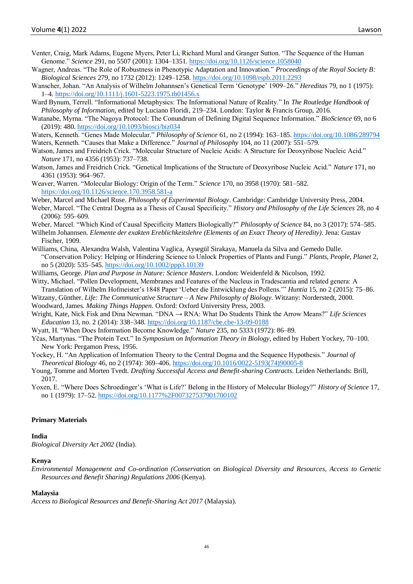- Venter, Craig, Mark Adams, Eugene Myers, Peter Li, Richard Mural and Granger Sutton. "The Sequence of the Human Genome." *Science* 291, no 5507 (2001): 1304–1351. <https://doi.org/10.1126/science.1058040>
- Wagner, Andreas. "The Role of Robustness in Phenotypic Adaptation and Innovation." *Proceedings of the Royal Society B: Biological Sciences* 279, no 1732 (2012): 1249–1258. <https://doi.org/10.1098/rspb.2011.2293>
- Wanscher, Johan. "An Analysis of Wilhelm Johannsen's Genetical Term 'Genotype' 1909–26." *Hereditas* 79, no 1 (1975): 1–4. <https://doi.org/10.1111/j.1601-5223.1975.tb01456.x>
- Ward Bynum, Terrell. "Informational Metaphysics: The Informational Nature of Reality." In *The Routledge Handbook of Philosophy of Information*, edited by Luciano Floridi, 219–234. London: Taylor & Francis Group, 2016.
- Watanabe, Myrna. "The Nagoya Protocol: The Conundrum of Defining Digital Sequence Information." *BioScience* 69, no 6 (2019): 480. <https://doi.org/10.1093/biosci/biz034>
- Waters, Kenneth. "Genes Made Molecular." *Philosophy of Science* 61, no 2 (1994): 163–185. <https://doi.org/10.1086/289794> Waters, Kenneth. "Causes that Make a Difference." *Journal of Philosophy* 104, no 11 (2007): 551–579.
- Watson, James and Freidrich Crick. "Molecular Structure of Nucleic Acids: A Structure for Deoxyribose Nucleic Acid." *Nature* 171, no 4356 (1953): 737–738.
- Watson, James and Freidrich Crick. "Genetical Implications of the Structure of Deoxyribose Nucleic Acid." *Nature* 171, no 4361 (1953): 964–967.
- Weaver, Warren. "Molecular Biology: Origin of the Term." *Science* 170, no 3958 (1970): 581–582. <https://doi.org/10.1126/science.170.3958.581-a>
- Weber, Marcel and Michael Ruse. *Philosophy of Experimental Biology*. Cambridge: Cambridge University Press, 2004.
- Weber, Marcel. "The Central Dogma as a Thesis of Causal Specificity." *History and Philosophy of the Life Sciences* 28, no 4 (2006): 595–609.
- Weber, Marcel. "Which Kind of Causal Specificity Matters Biologically?" *Philosophy of Science* 84, no 3 (2017): 574–585.
- Wilhelm Johannsen. *Elemente der exakten Ereblichkeitslehre (Elements of an Exact Theory of Heredity)*. Jena: Gustav Fischer, 1909.
- Williams, China, Alexandra Walsh, Valentina Vaglica, Aysegül Sirakaya, Manuela da Silva and Gemedo Dalle. "Conservation Policy: Helping or Hindering Science to Unlock Properties of Plants and Fungi." *Plants, People, Planet* 2, no 5 (2020): 535–545. <https://doi.org/10.1002/ppp3.10139>
- Williams, George. *Plan and Purpose in Nature: Science Masters*. London: Weidenfeld & Nicolson, 1992.
- Witty, Michael. "Pollen Development, Membranes and Features of the Nucleus in Tradescantia and related genera: A
- Translation of Wilhelm Hofmeister's 1848 Paper 'Ueber die Entwicklung des Pollens.'" *Huntia* 15, no 2 (2015): 75–86.
- Witzany, Günther. *Life: The Communicative Structure – A New Philosophy of Biology*. Witzany: Norderstedt, 2000. Woodward, James. *Making Things Happen*. Oxford: Oxford University Press, 2003.
- Wright, Kate, Nick Fisk and Dina Newman. "DNA → RNA: What Do Students Think the Arrow Means?" *Life Sciences Education* 13, no. 2 (2014): 338–348. <https://doi.org/10.1187/cbe.cbe-13-09-0188>
- Wyatt, H. "When Does Information Become Knowledge." *Nature* 235, no 5333 (1972): 86–89.
- Yčas, Martynas. "The Protein Text." In *Symposium on Information Theory in Biology*, edited by Hubert Yockey, 70–100. New York: Pergamon Press, 1956.
- Yockey, H. "An Application of Information Theory to the Central Dogma and the Sequence Hypothesis." *Journal of Theoretical Biology* 46, no 2 (1974): 369–406. [https://doi.org/10.1016/0022-5193\(74\)90005-8](https://doi.org/10.1016/0022-5193(74)90005-8)
- Young, Tomme and Morten Tvedt. *Drafting Successful Access and Benefit-sharing Contracts*. Leiden Netherlands: Brill, 2017.
- Yoxen, E. "Where Does Schroedinger's 'What is Life?' Belong in the History of Molecular Biology?" *History of Science* 17, no 1 (1979): 17–52. <https://doi.org/10.1177%2F007327537901700102>

#### **Primary Materials**

#### **India**

*Biological Diversity Act 2002* (India).

#### **Kenya**

*Environmental Management and Co-ordination (Conservation on Biological Diversity and Resources, Access to Genetic Resources and Benefit Sharing) Regulations 2006* (Kenya).

#### **Malaysia**

*Access to Biological Resources and Benefit-Sharing Act 2017* (Malaysia).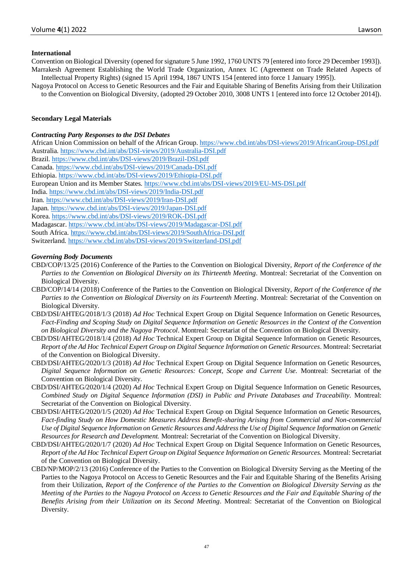## **International**

Convention on Biological Diversity (opened for signature 5 June 1992, 1760 UNTS 79 [entered into force 29 December 1993]). Marrakesh Agreement Establishing the World Trade Organization, Annex 1C (Agreement on Trade Related Aspects of Intellectual Property Rights) (signed 15 April 1994, 1867 UNTS 154 [entered into force 1 January 1995]).

Nagoya Protocol on Access to Genetic Resources and the Fair and Equitable Sharing of Benefits Arising from their Utilization to the Convention on Biological Diversity, (adopted 29 October 2010, 3008 UNTS 1 [entered into force 12 October 2014]).

#### **Secondary Legal Materials**

#### *Contracting Party Responses to the DSI Debates*

African Union Commission on behalf of the African Group.<https://www.cbd.int/abs/DSI-views/2019/AfricanGroup-DSI.pdf> Australia.<https://www.cbd.int/abs/DSI-views/2019/Australia-DSI.pdf> Brazil.<https://www.cbd.int/abs/DSI-views/2019/Brazil-DSI.pdf> Canada.<https://www.cbd.int/abs/DSI-views/2019/Canada-DSI.pdf> Ethiopia.<https://www.cbd.int/abs/DSI-views/2019/Ethiopia-DSI.pdf> European Union and its Member States.<https://www.cbd.int/abs/DSI-views/2019/EU-MS-DSI.pdf> India.<https://www.cbd.int/abs/DSI-views/2019/India-DSI.pdf> Iran.<https://www.cbd.int/abs/DSI-views/2019/Iran-DSI.pdf> Japan.<https://www.cbd.int/abs/DSI-views/2019/Japan-DSI.pdf> Korea.<https://www.cbd.int/abs/DSI-views/2019/ROK-DSI.pdf> Madagascar[. https://www.cbd.int/abs/DSI-views/2019/Madagascar-DSI.pdf](https://www.cbd.int/abs/DSI-views/2019/Madagascar-DSI.pdf) South Africa[. https://www.cbd.int/abs/DSI-views/2019/SouthAfrica-DSI.pdf](https://www.cbd.int/abs/DSI-views/2019/SouthAfrica-DSI.pdf) Switzerland.<https://www.cbd.int/abs/DSI-views/2019/Switzerland-DSI.pdf>

### *Governing Body Documents*

- CBD/COP/13/25 (2016) Conference of the Parties to the Convention on Biological Diversity, *Report of the Conference of the Parties to the Convention on Biological Diversity on its Thirteenth Meeting*. Montreal: Secretariat of the Convention on Biological Diversity.
- CBD/COP/14/14 (2018) Conference of the Parties to the Convention on Biological Diversity, *Report of the Conference of the Parties to the Convention on Biological Diversity on its Fourteenth Meeting*. Montreal: Secretariat of the Convention on Biological Diversity.
- CBD/DSI/AHTEG/2018/1/3 (2018) *Ad Hoc* Technical Expert Group on Digital Sequence Information on Genetic Resources, *Fact-Finding and Scoping Study on Digital Sequence Information on Genetic Resources in the Context of the Convention on Biological Diversity and the Nagoya Protocol*. Montreal: Secretariat of the Convention on Biological Diversity.
- CBD/DSI/AHTEG/2018/1/4 (2018) *Ad Hoc* Technical Expert Group on Digital Sequence Information on Genetic Resources, *Report of the Ad Hoc Technical Expert Group on Digital Sequence Information on Genetic Resources*. Montreal: Secretariat of the Convention on Biological Diversity.
- CBD/DSI/AHTEG/2020/1/3 (2018) *Ad Hoc* Technical Expert Group on Digital Sequence Information on Genetic Resources, *Digital Sequence Information on Genetic Resources: Concept, Scope and Current Use.* Montreal: Secretariat of the Convention on Biological Diversity.
- CBD/DSI/AHTEG/2020/1/4 (2020) *Ad Hoc* Technical Expert Group on Digital Sequence Information on Genetic Resources, *Combined Study on Digital Sequence Information (DSI) in Public and Private Databases and Traceability.* Montreal: Secretariat of the Convention on Biological Diversity.
- CBD/DSI/AHTEG/2020/1/5 (2020) *Ad Hoc* Technical Expert Group on Digital Sequence Information on Genetic Resources, *Fact-finding Study on How Domestic Measures Address Benefit-sharing Arising from Commercial and Non-commercial Use of Digital Sequence Information on Genetic Resources and Address the Use of Digital Sequence Information on Genetic Resources for Research and Development.* Montreal: Secretariat of the Convention on Biological Diversity.
- CBD/DSI/AHTEG/2020/1/7 (2020) *Ad Hoc* Technical Expert Group on Digital Sequence Information on Genetic Resources, *Report of the Ad Hoc Technical Expert Group on Digital Sequence Information on Genetic Resources.* Montreal: Secretariat of the Convention on Biological Diversity.
- CBD/NP/MOP/2/13 (2016) Conference of the Parties to the Convention on Biological Diversity Serving as the Meeting of the Parties to the Nagoya Protocol on Access to Genetic Resources and the Fair and Equitable Sharing of the Benefits Arising from their Utilization, *Report of the Conference of the Parties to the Convention on Biological Diversity Serving as the Meeting of the Parties to the Nagoya Protocol on Access to Genetic Resources and the Fair and Equitable Sharing of the Benefits Arising from their Utilization on its Second Meeting*. Montreal: Secretariat of the Convention on Biological Diversity.